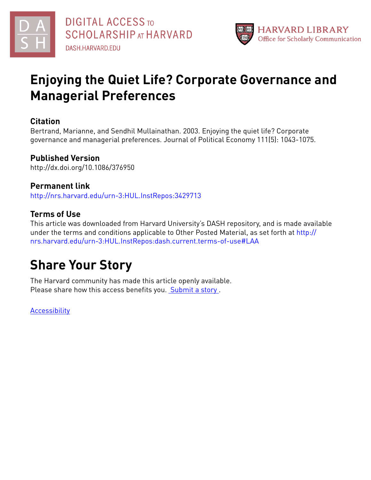



# **Enjoying the Quiet Life? Corporate Governance and Managerial Preferences**

## **Citation**

Bertrand, Marianne, and Sendhil Mullainathan. 2003. Enjoying the quiet life? Corporate governance and managerial preferences. Journal of Political Economy 111(5): 1043-1075.

## **Published Version**

http://dx.doi.org/10.1086/376950

## **Permanent link**

<http://nrs.harvard.edu/urn-3:HUL.InstRepos:3429713>

## **Terms of Use**

This article was downloaded from Harvard University's DASH repository, and is made available under the terms and conditions applicable to Other Posted Material, as set forth at [http://](http://nrs.harvard.edu/urn-3:HUL.InstRepos:dash.current.terms-of-use#LAA) [nrs.harvard.edu/urn-3:HUL.InstRepos:dash.current.terms-of-use#LAA](http://nrs.harvard.edu/urn-3:HUL.InstRepos:dash.current.terms-of-use#LAA)

# **Share Your Story**

The Harvard community has made this article openly available. Please share how this access benefits you. [Submit](http://osc.hul.harvard.edu/dash/open-access-feedback?handle=&title=Enjoying%20the%20Quiet%20Life?%20Corporate%20Governance%20and%20Managerial%20Preferences&community=1/1&collection=1/2&owningCollection1/2&harvardAuthors=64512b77ad0a0110b5bba2929c61cb4b&departmentEconomics) a story.

**[Accessibility](https://dash.harvard.edu/pages/accessibility)**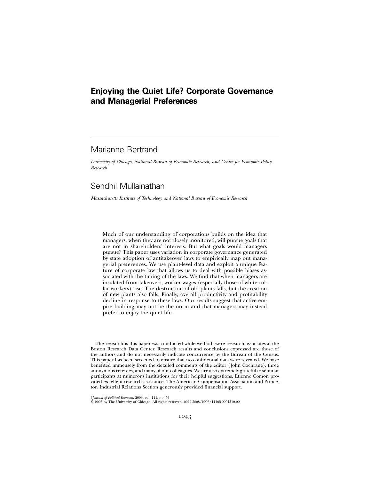## **Enjoying the Quiet Life? Corporate Governance and Managerial Preferences**

## Marianne Bertrand

*University of Chicago, National Bureau of Economic Research, and Centre for Economic Policy Research*

## Sendhil Mullainathan

*Massachusetts Institute of Technology and National Bureau of Economic Research*

Much of our understanding of corporations builds on the idea that managers, when they are not closely monitored, will pursue goals that are not in shareholders' interests. But what goals would managers pursue? This paper uses variation in corporate governance generated by state adoption of antitakeover laws to empirically map out managerial preferences. We use plant-level data and exploit a unique feature of corporate law that allows us to deal with possible biases associated with the timing of the laws. We find that when managers are insulated from takeovers, worker wages (especially those of white-collar workers) rise. The destruction of old plants falls, but the creation of new plants also falls. Finally, overall productivity and profitability decline in response to these laws. Our results suggest that active empire building may not be the norm and that managers may instead prefer to enjoy the quiet life.

The research is this paper was conducted while we both were research associates at the Boston Research Data Center. Research results and conclusions expressed are those of the authors and do not necessarily indicate concurrence by the Bureau of the Census. This paper has been screened to ensure that no confidential data were revealed. We have benefited immensely from the detailed comments of the editor (John Cochrane), three anonymous referees, and many of our colleagues. We are also extremely grateful to seminar participants at numerous institutions for their helpful suggestions. Etienne Comon provided excellent research assistance. The American Compensation Association and Princeton Industrial Relations Section generously provided financial support.

[*Journal of Political Economy,* 2003, vol. 111, no. 5]<br>© 2003 by The University of Chicago. All rights reserved. 0022-3808/2003/11105-0001\$10.00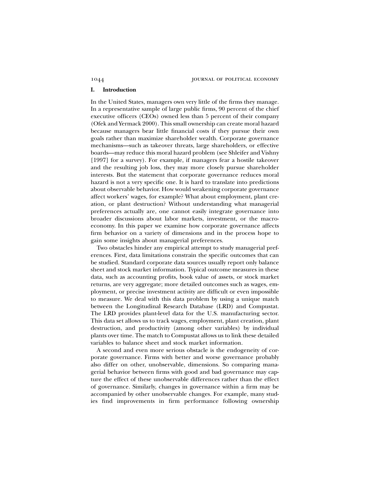### 1044 JOURNAL OF POLITICAL ECONOMY

### **I. Introduction**

In the United States, managers own very little of the firms they manage. In a representative sample of large public firms, 90 percent of the chief executive officers (CEOs) owned less than 5 percent of their company (Ofek and Yermack 2000). This small ownership can create moral hazard because managers bear little financial costs if they pursue their own goals rather than maximize shareholder wealth. Corporate governance mechanisms—such as takeover threats, large shareholders, or effective boards—may reduce this moral hazard problem (see Shleifer and Vishny [1997] for a survey). For example, if managers fear a hostile takeover and the resulting job loss, they may more closely pursue shareholder interests. But the statement that corporate governance reduces moral hazard is not a very specific one. It is hard to translate into predictions about observable behavior. How would weakening corporate governance affect workers' wages, for example? What about employment, plant creation, or plant destruction? Without understanding what managerial preferences actually are, one cannot easily integrate governance into broader discussions about labor markets, investment, or the macroeconomy. In this paper we examine how corporate governance affects firm behavior on a variety of dimensions and in the process hope to gain some insights about managerial preferences.

Two obstacles hinder any empirical attempt to study managerial preferences. First, data limitations constrain the specific outcomes that can be studied. Standard corporate data sources usually report only balance sheet and stock market information. Typical outcome measures in these data, such as accounting profits, book value of assets, or stock market returns, are very aggregate; more detailed outcomes such as wages, employment, or precise investment activity are difficult or even impossible to measure. We deal with this data problem by using a unique match between the Longitudinal Research Database (LRD) and Compustat. The LRD provides plant-level data for the U.S. manufacturing sector. This data set allows us to track wages, employment, plant creation, plant destruction, and productivity (among other variables) by individual plants over time. The match to Compustat allows us to link these detailed variables to balance sheet and stock market information.

A second and even more serious obstacle is the endogeneity of corporate governance. Firms with better and worse governance probably also differ on other, unobservable, dimensions. So comparing managerial behavior between firms with good and bad governance may capture the effect of these unobservable differences rather than the effect of governance. Similarly, changes in governance within a firm may be accompanied by other unobservable changes. For example, many studies find improvements in firm performance following ownership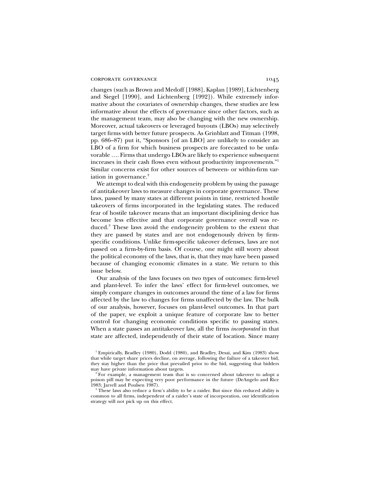changes (such as Brown and Medoff [1988], Kaplan [1989], Lichtenberg and Siegel [1990], and Lichtenberg [1992]). While extremely informative about the covariates of ownership changes, these studies are less informative about the effects of governance since other factors, such as the management team, may also be changing with the new ownership. Moreover, actual takeovers or leveraged buyouts (LBOs) may selectively target firms with better future prospects. As Grinblatt and Titman (1998, pp. 686–87) put it, "Sponsors [of an LBO] are unlikely to consider an LBO of a firm for which business prospects are forecasted to be unfavorable …. Firms that undergo LBOs are likely to experience subsequent increases in their cash flows even without productivity improvements."<sup>1</sup> Similar concerns exist for other sources of between- or within-firm variation in governance.<sup>2</sup>

We attempt to deal with this endogeneity problem by using the passage of antitakeover laws to measure changes in corporate governance. These laws, passed by many states at different points in time, restricted hostile takeovers of firms incorporated in the legislating states. The reduced fear of hostile takeover means that an important disciplining device has become less effective and that corporate governance overall was reduced.<sup>3</sup> These laws avoid the endogeneity problem to the extent that they are passed by states and are not endogenously driven by firmspecific conditions. Unlike firm-specific takeover defenses, laws are not passed on a firm-by-firm basis. Of course, one might still worry about the political economy of the laws, that is, that they may have been passed because of changing economic climates in a state. We return to this issue below.

Our analysis of the laws focuses on two types of outcomes: firm-level and plant-level. To infer the laws' effect for firm-level outcomes, we simply compare changes in outcomes around the time of a law for firms affected by the law to changes for firms unaffected by the law. The bulk of our analysis, however, focuses on plant-level outcomes. In that part of the paper, we exploit a unique feature of corporate law to better control for changing economic conditions specific to passing states. When a state passes an antitakeover law, all the firms *incorporated* in that state are affected, independently of their state of location. Since many

<sup>1</sup> Empirically, Bradley (1980), Dodd (1980), and Bradley, Desai, and Kim (1983) show that while target share prices decline, on average, following the failure of a takeover bid, they stay higher than the price that prevailed prior to the bid, suggesting that bidders may have private information about targets.

<sup>&</sup>lt;sup>2</sup> For example, a management team that is so concerned about takeover to adopt a poison pill may be expecting very poor performance in the future (DeAngelo and Rice 1983; Jarrell and Poulsen 1987).

<sup>&</sup>lt;sup>3</sup> These laws also reduce a firm's ability to be a raider. But since this reduced ability is common to all firms, independent of a raider's state of incorporation, our identification strategy will not pick up on this effect.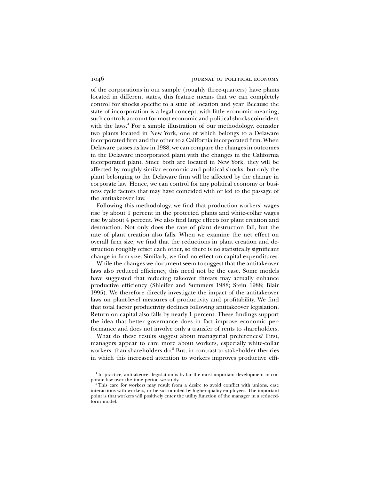of the corporations in our sample (roughly three-quarters) have plants located in different states, this feature means that we can completely control for shocks specific to a state of location and year. Because the state of incorporation is a legal concept, with little economic meaning, such controls account for most economic and political shocks coincident with the laws. $4$  For a simple illustration of our methodology, consider two plants located in New York, one of which belongs to a Delaware incorporated firm and the other to a California incorporated firm. When Delaware passes its law in 1988, we can compare the changes in outcomes in the Delaware incorporated plant with the changes in the California incorporated plant. Since both are located in New York, they will be affected by roughly similar economic and political shocks, but only the plant belonging to the Delaware firm will be affected by the change in corporate law. Hence, we can control for any political economy or business cycle factors that may have coincided with or led to the passage of the antitakeover law.

Following this methodology, we find that production workers' wages rise by about 1 percent in the protected plants and white-collar wages rise by about 4 percent. We also find large effects for plant creation and destruction. Not only does the rate of plant destruction fall, but the rate of plant creation also falls. When we examine the net effect on overall firm size, we find that the reductions in plant creation and destruction roughly offset each other, so there is no statistically significant change in firm size. Similarly, we find no effect on capital expenditures.

While the changes we document seem to suggest that the antitakeover laws also reduced efficiency, this need not be the case. Some models have suggested that reducing takeover threats may actually enhance productive efficiency (Shleifer and Summers 1988; Stein 1988; Blair 1995). We therefore directly investigate the impact of the antitakeover laws on plant-level measures of productivity and profitability. We find that total factor productivity declines following antitakeover legislation. Return on capital also falls by nearly 1 percent. These findings support the idea that better governance does in fact improve economic performance and does not involve only a transfer of rents to shareholders.

What do these results suggest about managerial preferences? First, managers appear to care more about workers, especially white-collar workers, than shareholders do.<sup>5</sup> But, in contrast to stakeholder theories in which this increased attention to workers improves productive effi-

<sup>4</sup> In practice, antitakeover legislation is by far the most important development in corporate law over the time period we study.

<sup>&</sup>lt;sup>5</sup>This care for workers may result from a desire to avoid conflict with unions, ease interactions with workers, or be surrounded by higher-quality employees. The important point is that workers will positively enter the utility function of the manager in a reducedform model.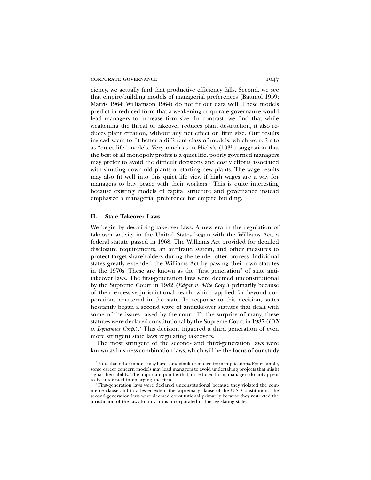ciency, we actually find that productive efficiency falls. Second, we see that empire-building models of managerial preferences (Baumol 1959; Marris 1964; Williamson 1964) do not fit our data well. These models predict in reduced form that a weakening corporate governance would lead managers to increase firm size. In contrast, we find that while weakening the threat of takeover reduces plant destruction, it also reduces plant creation, without any net effect on firm size. Our results instead seem to fit better a different class of models, which we refer to as "quiet life" models. Very much as in Hicks's (1935) suggestion that the best of all monopoly profits is a quiet life, poorly governed managers may prefer to avoid the difficult decisions and costly efforts associated with shutting down old plants or starting new plants. The wage results may also fit well into this quiet life view if high wages are a way for managers to buy peace with their workers.<sup>6</sup> This is quite interesting because existing models of capital structure and governance instead emphasize a managerial preference for empire building.

### **II. State Takeover Laws**

We begin by describing takeover laws. A new era in the regulation of takeover activity in the United States began with the Williams Act, a federal statute passed in 1968. The Williams Act provided for detailed disclosure requirements, an antifraud system, and other measures to protect target shareholders during the tender offer process. Individual states greatly extended the Williams Act by passing their own statutes in the 1970s. These are known as the "first generation" of state antitakeover laws. The first-generation laws were deemed unconstitutional by the Supreme Court in 1982 (*Edgar v. Mite Corp.*) primarily because of their excessive jurisdictional reach, which applied far beyond corporations chartered in the state. In response to this decision, states hesitantly began a second wave of antitakeover statutes that dealt with some of the issues raised by the court. To the surprise of many, these statutes were declared constitutional by the Supreme Court in 1987 (*CTS v. Dynamics Corp.*).<sup>7</sup> This decision triggered a third generation of even more stringent state laws regulating takeovers.

The most stringent of the second- and third-generation laws were known as business combination laws, which will be the focus of our study

 $6$  Note that other models may have some similar reduced-form implications. For example, some career concern models may lead managers to avoid undertaking projects that might signal their ability. The important point is that, in reduced form, managers do not appear to be interested in enlarging the firm.

<sup>7</sup> First-generation laws were declared unconstitutional because they violated the commerce clause and to a lesser extent the supremacy clause of the U.S. Constitution. The second-generation laws were deemed constitutional primarily because they restricted the jurisdiction of the laws to only firms incorporated in the legislating state.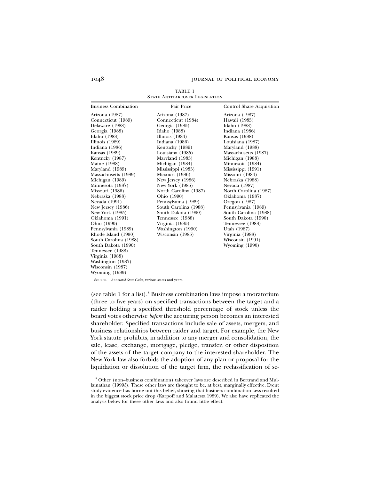TABLE 1 STATE ANTITAKEOVER LEGISLATION

| <b>Business Combination</b> | Fair Price            | Control Share Acquisition |
|-----------------------------|-----------------------|---------------------------|
| Arizona (1987)              | Arizona (1987)        | Arizona (1987)            |
| Connecticut (1989)          | Connecticut (1984)    | Hawaii (1985)             |
| Delaware (1988)             | Georgia (1985)        | Idaho (1988)              |
| Georgia (1988)              | Idaho (1988)          | Indiana (1986)            |
| Idaho (1988)                | Illinois $(1984)$     | Kansas (1988)             |
| Illinois $(1989)$           | Indiana (1986)        | Louisiana (1987)          |
| Indiana (1986)              | Kentucky (1989)       | Maryland (1988)           |
| Kansas (1989)               | Louisiana (1985)      | Massachusetts (1987)      |
| Kentucky (1987)             | Maryland (1983)       | Michigan (1988)           |
| Maine (1988)                | Michigan (1984)       | Minnesota (1984)          |
| Maryland (1989)             | Mississippi (1985)    | Mississippi (1991)        |
| Massachusetts (1989)        | Missouri (1986)       | Missouri (1984)           |
| Michigan (1989)             | New Jersey (1986)     | Nebraska (1988)           |
| Minnesota (1987)            | New York (1985)       | Nevada (1987)             |
| Missouri (1986)             | North Carolina (1987) | North Carolina (1987)     |
| Nebraska (1988)             | Ohio (1990)           | Oklahoma (1987)           |
| Nevada (1991)               | Pennsylvania (1989)   | Oregon (1987)             |
| New Jersey (1986)           | South Carolina (1988) | Pennsylvania (1989)       |
| New York (1985)             | South Dakota (1990)   | South Carolina (1988)     |
| Oklahoma (1991)             | Tennessee (1988)      | South Dakota (1990)       |
| Ohio (1990)                 | Virginia (1985)       | Tennessee (1988)          |
| Pennsylvania (1989)         | Washington (1990)     | Utah (1987)               |
| Rhode Island (1990)         | Wisconsin (1985)      | Virginia (1988)           |
| South Carolina (1988)       |                       | Wisconsin (1991)          |
| South Dakota (1990)         |                       | Wyoming $(1990)$          |
| Tennessee (1988)            |                       |                           |
| Virginia (1988)             |                       |                           |
| Washington (1987)           |                       |                           |
| Wisconsin (1987)            |                       |                           |
| Wyoming (1989)              |                       |                           |

Source.—*Annotated State Codes,* various states and years.

(see table 1 for a list).<sup>8</sup> Business combination laws impose a moratorium (three to five years) on specified transactions between the target and a raider holding a specified threshold percentage of stock unless the board votes otherwise *before* the acquiring person becomes an interested shareholder. Specified transactions include sale of assets, mergers, and business relationships between raider and target. For example, the New York statute prohibits, in addition to any merger and consolidation, the sale, lease, exchange, mortgage, pledge, transfer, or other disposition of the assets of the target company to the interested shareholder. The New York law also forbids the adoption of any plan or proposal for the liquidation or dissolution of the target firm, the reclassification of se-

<sup>8</sup> Other (non–business combination) takeover laws are described in Bertrand and Mullainathan (1999*b*). These other laws are thought to be, at best, marginally effective. Event study evidence has borne out this belief, showing that business combination laws resulted in the biggest stock price drop (Karpoff and Malatesta 1989). We also have replicated the analysis below for these other laws and also found little effect.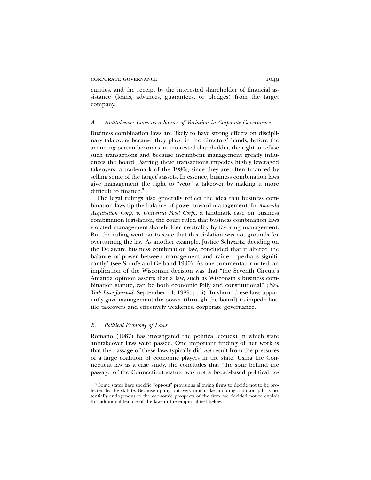curities, and the receipt by the interested shareholder of financial assistance (loans, advances, guarantees, or pledges) from the target company.

### *A. Antitakeover Laws as a Source of Variation in Corporate Governance*

Business combination laws are likely to have strong effects on disciplinary takeovers because they place in the directors' hands, before the acquiring person becomes an interested shareholder, the right to refuse such transactions and because incumbent management greatly influences the board. Barring these transactions impedes highly leveraged takeovers, a trademark of the 1980s, since they are often financed by selling some of the target's assets. In essence, business combination laws give management the right to "veto" a takeover by making it more difficult to finance.<sup>9</sup>

The legal rulings also generally reflect the idea that business combination laws tip the balance of power toward management. In *Amanda Acquisition Corp. v. Universal Food Corp.,* a landmark case on business combination legislation, the court ruled that business combination laws violated management-shareholder neutrality by favoring management. But the ruling went on to state that this violation was not grounds for overturning the law. As another example, Justice Schwartz, deciding on the Delaware business combination law, concluded that it altered the balance of power between management and raider, "perhaps significantly" (see Sroufe and Gelband 1990). As one commentator noted, an implication of the Wisconsin decision was that "the Seventh Circuit's Amanda opinion asserts that a law, such as Wisconsin's business combination statute, can be both economic folly and constitutional" (*New York Law Journal,* September 14, 1989, p. 5). In short, these laws apparently gave management the power (through the board) to impede hostile takeovers and effectively weakened corporate governance.

### *B. Political Economy of Laws*

Romano (1987) has investigated the political context in which state antitakeover laws were passed. One important finding of her work is that the passage of these laws typically did *not* result from the pressures of a large coalition of economic players in the state. Using the Connecticut law as a case study, she concludes that "the spur behind the passage of the Connecticut statute was not a broad-based political co-

<sup>&</sup>lt;sup>9</sup> Some states have specific "opt-out" provisions allowing firms to decide not to be protected by the statute. Because opting out, very much like adopting a poison pill, is potentially endogenous to the economic prospects of the firm, we decided not to exploit this additional feature of the laws in the empirical test below.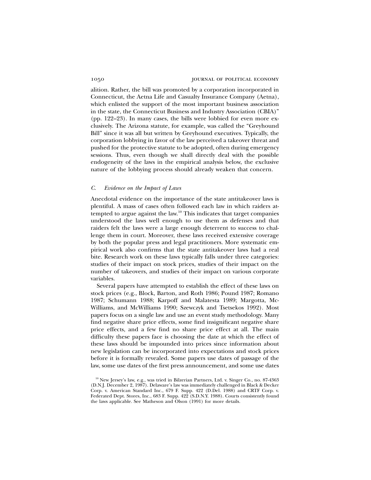alition. Rather, the bill was promoted by a corporation incorporated in Connecticut, the Aetna Life and Casualty Insurance Company (Aetna), which enlisted the support of the most important business association in the state, the Connecticut Business and Industry Association (CBIA)" (pp. 122–23). In many cases, the bills were lobbied for even more exclusively. The Arizona statute, for example, was called the "Greyhound Bill" since it was all but written by Greyhound executives. Typically, the corporation lobbying in favor of the law perceived a takeover threat and pushed for the protective statute to be adopted, often during emergency sessions. Thus, even though we shall directly deal with the possible endogeneity of the laws in the empirical analysis below, the exclusive nature of the lobbying process should already weaken that concern.

### *C. Evidence on the Impact of Laws*

Anecdotal evidence on the importance of the state antitakeover laws is plentiful. A mass of cases often followed each law in which raiders attempted to argue against the law.<sup>10</sup> This indicates that target companies understood the laws well enough to use them as defenses and that raiders felt the laws were a large enough deterrent to success to challenge them in court. Moreover, these laws received extensive coverage by both the popular press and legal practitioners. More systematic empirical work also confirms that the state antitakeover laws had a real bite. Research work on these laws typically falls under three categories: studies of their impact on stock prices, studies of their impact on the number of takeovers, and studies of their impact on various corporate variables.

Several papers have attempted to establish the effect of these laws on stock prices (e.g., Block, Barton, and Roth 1986; Pound 1987; Romano 1987; Schumann 1988; Karpoff and Malatesta 1989; Margotta, Mc-Williams, and McWilliams 1990; Szewczyk and Tsetsekos 1992). Most papers focus on a single law and use an event study methodology. Many find negative share price effects, some find insignificant negative share price effects, and a few find no share price effect at all. The main difficulty these papers face is choosing the date at which the effect of these laws should be impounded into prices since information about new legislation can be incorporated into expectations and stock prices before it is formally revealed. Some papers use dates of passage of the law, some use dates of the first press announcement, and some use dates

<sup>&</sup>lt;sup>10</sup> New Jersey's law, e.g., was tried in Bilzerian Partners, Ltd. v. Singer Co., no. 87-4363 (D.N.J. December 2, 1987). Delaware's law was immediately challenged in Black & Decker Corp. v. American Standard Inc., 679 F. Supp. 422 (D.Del. 1988) and CRTF Corp. v. Federated Dept. Stores, Inc., 683 F. Supp. 422 (S.D.N.Y. 1988). Courts consistently found the laws applicable. See Matheson and Olson (1991) for more details.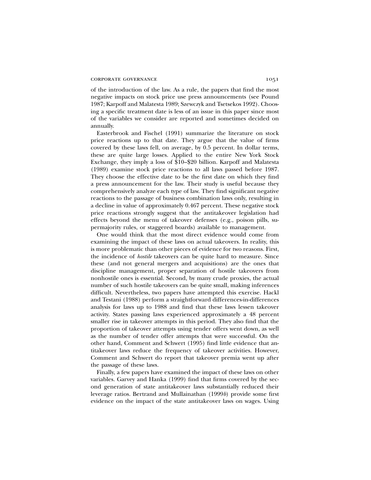### CORPORATE GOVERNANCE 1051

of the introduction of the law. As a rule, the papers that find the most negative impacts on stock price use press announcements (see Pound 1987; Karpoff and Malatesta 1989; Szewczyk and Tsetsekos 1992). Choosing a specific treatment date is less of an issue in this paper since most of the variables we consider are reported and sometimes decided on annually.

Easterbrook and Fischel (1991) summarize the literature on stock price reactions up to that date. They argue that the value of firms covered by these laws fell, on average, by 0.5 percent. In dollar terms, these are quite large losses. Applied to the entire New York Stock Exchange, they imply a loss of \$10–\$20 billion. Karpoff and Malatesta (1989) examine stock price reactions to all laws passed before 1987. They choose the effective date to be the first date on which they find a press announcement for the law. Their study is useful because they comprehensively analyze each type of law. They find significant negative reactions to the passage of business combination laws only, resulting in a decline in value of approximately 0.467 percent. These negative stock price reactions strongly suggest that the antitakeover legislation had effects beyond the menu of takeover defenses (e.g., poison pills, supermajority rules, or staggered boards) available to management.

One would think that the most direct evidence would come from examining the impact of these laws on actual takeovers. In reality, this is more problematic than other pieces of evidence for two reasons. First, the incidence of *hostile* takeovers can be quite hard to measure. Since these (and not general mergers and acquisitions) are the ones that discipline management, proper separation of hostile takeovers from nonhostile ones is essential. Second, by many crude proxies, the actual number of such hostile takeovers can be quite small, making inferences difficult. Nevertheless, two papers have attempted this exercise. Hackl and Testani (1988) perform a straightforward differences-in-differences analysis for laws up to 1988 and find that these laws lessen takeover activity. States passing laws experienced approximately a 48 percent smaller rise in takeover attempts in this period. They also find that the proportion of takeover attempts using tender offers went down, as well as the number of tender offer attempts that were successful. On the other hand, Comment and Schwert (1995) find little evidence that antitakeover laws reduce the frequency of takeover activities. However, Comment and Schwert do report that takeover premia went up after the passage of these laws.

Finally, a few papers have examined the impact of these laws on other variables. Garvey and Hanka (1999) find that firms covered by the second generation of state antitakeover laws substantially reduced their leverage ratios. Bertrand and Mullainathan (1999*b*) provide some first evidence on the impact of the state antitakeover laws on wages. Using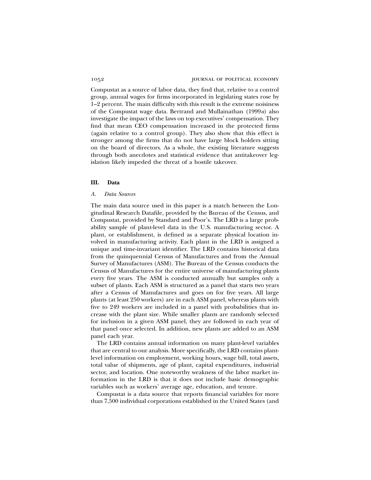Compustat as a source of labor data, they find that, relative to a control group, annual wages for firms incorporated in legislating states rose by 1–2 percent. The main difficulty with this result is the extreme noisiness of the Compustat wage data. Bertrand and Mullainathan (1999*a*) also investigate the impact of the laws on top executives' compensation. They find that mean CEO compensation increased in the protected firms (again relative to a control group). They also show that this effect is stronger among the firms that do not have large block holders sitting on the board of directors. As a whole, the existing literature suggests through both anecdotes and statistical evidence that antitakeover legislation likely impeded the threat of a hostile takeover.

### **III. Data**

### *A. Data Sources*

The main data source used in this paper is a match between the Longitudinal Research Datafile, provided by the Bureau of the Census, and Compustat, provided by Standard and Poor's. The LRD is a large probability sample of plant-level data in the U.S. manufacturing sector. A plant, or establishment, is defined as a separate physical location involved in manufacturing activity. Each plant in the LRD is assigned a unique and time-invariant identifier. The LRD contains historical data from the quinquennial Census of Manufactures and from the Annual Survey of Manufactures (ASM). The Bureau of the Census conducts the Census of Manufactures for the entire universe of manufacturing plants every five years. The ASM is conducted annually but samples only a subset of plants. Each ASM is structured as a panel that starts two years after a Census of Manufactures and goes on for five years. All large plants (at least 250 workers) are in each ASM panel, whereas plants with five to 249 workers are included in a panel with probabilities that increase with the plant size. While smaller plants are randomly selected for inclusion in a given ASM panel, they are followed in each year of that panel once selected. In addition, new plants are added to an ASM panel each year.

The LRD contains annual information on many plant-level variables that are central to our analysis. More specifically, the LRD contains plantlevel information on employment, working hours, wage bill, total assets, total value of shipments, age of plant, capital expenditures, industrial sector, and location. One noteworthy weakness of the labor market information in the LRD is that it does not include basic demographic variables such as workers' average age, education, and tenure.

Compustat is a data source that reports financial variables for more than 7,500 individual corporations established in the United States (and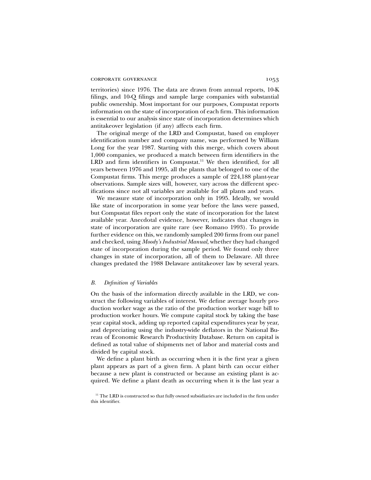territories) since 1976. The data are drawn from annual reports, 10-K filings, and 10-Q filings and sample large companies with substantial public ownership. Most important for our purposes, Compustat reports information on the state of incorporation of each firm. This information is essential to our analysis since state of incorporation determines which antitakeover legislation (if any) affects each firm.

The original merge of the LRD and Compustat, based on employer identification number and company name, was performed by William Long for the year 1987. Starting with this merge, which covers about 1,000 companies, we produced a match between firm identifiers in the LRD and firm identifiers in Compustat.<sup>11</sup> We then identified, for all years between 1976 and 1995, all the plants that belonged to one of the Compustat firms. This merge produces a sample of 224,188 plant-year observations. Sample sizes will, however, vary across the different specifications since not all variables are available for all plants and years.

We measure state of incorporation only in 1995. Ideally, we would like state of incorporation in some year before the laws were passed, but Compustat files report only the state of incorporation for the latest available year. Anecdotal evidence, however, indicates that changes in state of incorporation are quite rare (see Romano 1993). To provide further evidence on this, we randomly sampled 200 firms from our panel and checked, using *Moody's Industrial Manual,* whether they had changed state of incorporation during the sample period. We found only three changes in state of incorporation, all of them to Delaware. All three changes predated the 1988 Delaware antitakeover law by several years.

### *B. Definition of Variables*

On the basis of the information directly available in the LRD, we construct the following variables of interest. We define average hourly production worker wage as the ratio of the production worker wage bill to production worker hours. We compute capital stock by taking the base year capital stock, adding up reported capital expenditures year by year, and depreciating using the industry-wide deflators in the National Bureau of Economic Research Productivity Database. Return on capital is defined as total value of shipments net of labor and material costs and divided by capital stock.

We define a plant birth as occurring when it is the first year a given plant appears as part of a given firm. A plant birth can occur either because a new plant is constructed or because an existing plant is acquired. We define a plant death as occurring when it is the last year a

<sup>&</sup>lt;sup>11</sup> The LRD is constructed so that fully owned subsidiaries are included in the firm under this identifier.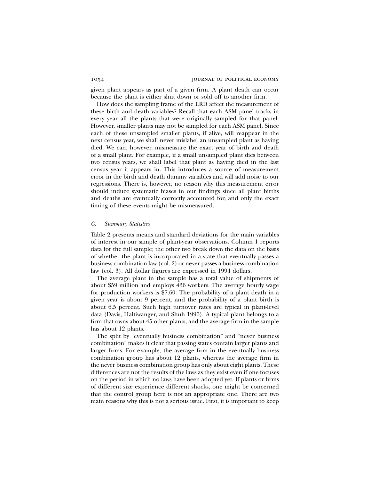given plant appears as part of a given firm. A plant death can occur because the plant is either shut down or sold off to another firm.

How does the sampling frame of the LRD affect the measurement of these birth and death variables? Recall that each ASM panel tracks in every year all the plants that were originally sampled for that panel. However, smaller plants may not be sampled for each ASM panel. Since each of these unsampled smaller plants, if alive, will reappear in the next census year, we shall never mislabel an unsampled plant as having died. We can, however, mismeasure the exact year of birth and death of a small plant. For example, if a small unsampled plant dies between two census years, we shall label that plant as having died in the last census year it appears in. This introduces a source of measurement error in the birth and death dummy variables and will add noise to our regressions. There is, however, no reason why this measurement error should induce systematic biases in our findings since all plant births and deaths are eventually correctly accounted for, and only the exact timing of these events might be mismeasured.

### *C. Summary Statistics*

Table 2 presents means and standard deviations for the main variables of interest in our sample of plant-year observations. Column 1 reports data for the full sample; the other two break down the data on the basis of whether the plant is incorporated in a state that eventually passes a business combination law (col. 2) or never passes a business combination law (col. 3). All dollar figures are expressed in 1994 dollars.

The average plant in the sample has a total value of shipments of about \$59 million and employs 436 workers. The average hourly wage for production workers is \$7.60. The probability of a plant death in a given year is about 9 percent, and the probability of a plant birth is about 6.5 percent. Such high turnover rates are typical in plant-level data (Davis, Haltiwanger, and Shuh 1996). A typical plant belongs to a firm that owns about 45 other plants, and the average firm in the sample has about 12 plants.

The split by "eventually business combination" and "never business combination" makes it clear that passing states contain larger plants and larger firms. For example, the average firm in the eventually business combination group has about 12 plants, whereas the average firm in the never business combination group has only about eight plants. These differences are not the results of the laws as they exist even if one focuses on the period in which no laws have been adopted yet. If plants or firms of different size experience different shocks, one might be concerned that the control group here is not an appropriate one. There are two main reasons why this is not a serious issue. First, it is important to keep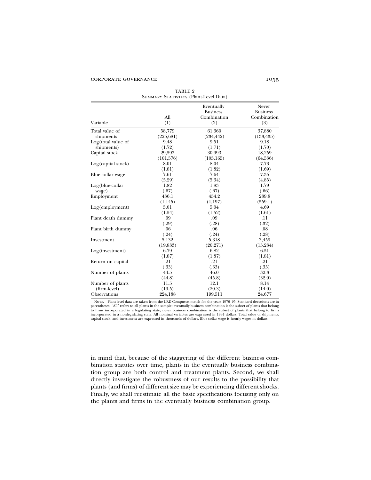| Variable           | All<br>(1) | Eventually<br><b>Business</b><br>Combination<br>(2) | Never<br><b>Business</b><br>Combination<br>(3) |
|--------------------|------------|-----------------------------------------------------|------------------------------------------------|
| Total value of     | 58,779     | 61,360                                              | 37,880                                         |
| shipments          | (225, 681) | (234, 442)                                          | (133, 435)                                     |
| Log(total value of | 9.48       | 9.51                                                | 9.18                                           |
| shipments)         | (1.72)     | (1.71)                                              | (1.70)                                         |
| Capital stock      | 29,593     | 30,993                                              | 18,259                                         |
|                    | (101,576)  | (105, 165)                                          | (64, 536)                                      |
| Log(capital stock) | 8.01       | 8.04                                                | 7.73                                           |
|                    | (1.81)     | (1.82)                                              | (1.69)                                         |
| Blue-collar wage   | 7.61       | 7.64                                                | 7.35                                           |
|                    | (5.29)     | (5.34)                                              | (4.85)                                         |
| Log(blue-collar    | 1.82       | 1.83                                                | 1.79                                           |
| wage)              | (.67)      | (.67)                                               | (.66)                                          |
| Employment         | 436.1      | 454.2                                               | 289.8                                          |
|                    | (1,145)    | (1,197)                                             | (559.1)                                        |
| Log(employment)    | 5.01       | 5.04                                                | 4.69                                           |
|                    | (1.54)     | (1.52)                                              | (1.61)                                         |
| Plant death dummy  | .09        | .09                                                 | .11                                            |
|                    | (.29)      | (.28)                                               | (.32)                                          |
| Plant birth dummy  | .06        | .06                                                 | .08                                            |
|                    | (.24)      | (.24)                                               | (.28)                                          |
| Investment         | 5,132      | 5,318                                               | 3,459                                          |
|                    | (19, 833)  | (20,271)                                            | (15, 234)                                      |
| Log(investment)    | 6.79       | 6.82                                                | 6.51                                           |
|                    | (1.87)     | (1.87)                                              | (1.81)                                         |
| Return on capital  | .21        | .21                                                 | .21                                            |
|                    | (.33)      | (.33)                                               | (.35)                                          |
| Number of plants   | 44.5       | 46.0                                                | 32.3                                           |
|                    | (44.8)     | (45.8)                                              | (32.9)                                         |
| Number of plants   | 11.5       | 12.1                                                | 8.14                                           |
| (firm-level)       | (19.5)     | (20.3)                                              | (14.0)                                         |
| Observations       | 224,188    | 199,511                                             | 24,677                                         |

TABLE 2 SUMMARY STATISTICS (Plant-Level Data)

Note.—Plant-level data are taken from the LRD-Compustat match for the years 1976–95. Standard deviations are in parentheses. "All" refers to all plants in the sample; eventually business combination is the subset of plants that belong<br>to firms incorporated in a legislating state; never business combination is the subset of plants th

in mind that, because of the staggering of the different business combination statutes over time, plants in the eventually business combination group are both control and treatment plants. Second, we shall directly investigate the robustness of our results to the possibility that plants (and firms) of different size may be experiencing different shocks. Finally, we shall reestimate all the basic specifications focusing only on the plants and firms in the eventually business combination group.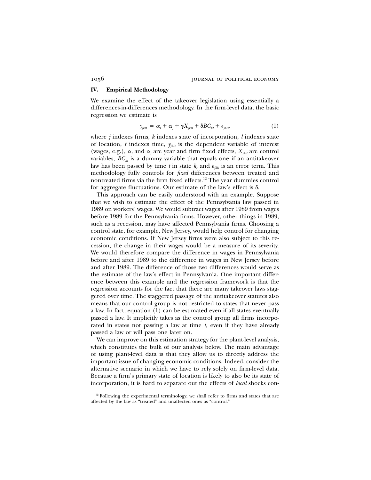### **IV. Empirical Methodology**

We examine the effect of the takeover legislation using essentially a differences-in-differences methodology. In the firm-level data, the basic regression we estimate is

$$
y_{jklt} = \alpha_t + \alpha_j + \gamma X_{jklt} + \delta BC_{kt} + \epsilon_{jklt}, \qquad (1)
$$

where *j* indexes firms, *k* indexes state of incorporation, *l* indexes state of location,  $t$  indexes time,  $y_{jkl}$  is the dependent variable of interest (wages, e.g.),  $\alpha_i$  and  $\alpha_j$  are year and firm fixed effects,  $X_{ikl}$  are control variables,  $BC_{kt}$  is a dummy variable that equals one if an antitakeover law has been passed by time *t* in state *k*, and  $\epsilon_{i k l t}$  is an error term. This methodology fully controls for *fixed* differences between treated and nontreated firms via the firm fixed effects.<sup>12</sup> The year dummies control for aggregate fluctuations. Our estimate of the law's effect is  $\delta$ .

This approach can be easily understood with an example. Suppose that we wish to estimate the effect of the Pennsylvania law passed in 1989 on workers' wages. We would subtract wages after 1989 from wages before 1989 for the Pennsylvania firms. However, other things in 1989, such as a recession, may have affected Pennsylvania firms. Choosing a control state, for example, New Jersey, would help control for changing economic conditions. If New Jersey firms were also subject to this recession, the change in their wages would be a measure of its severity. We would therefore compare the difference in wages in Pennsylvania before and after 1989 to the difference in wages in New Jersey before and after 1989. The difference of those two differences would serve as the estimate of the law's effect in Pennsylvania. One important difference between this example and the regression framework is that the regression accounts for the fact that there are many takeover laws staggered over time. The staggered passage of the antitakeover statutes also means that our control group is not restricted to states that never pass a law. In fact, equation (1) can be estimated even if all states eventually passed a law. It implicitly takes as the control group all firms incorporated in states not passing a law at time *t,* even if they have already passed a law or will pass one later on.

We can improve on this estimation strategy for the plant-level analysis, which constitutes the bulk of our analysis below. The main advantage of using plant-level data is that they allow us to directly address the important issue of changing economic conditions. Indeed, consider the alternative scenario in which we have to rely solely on firm-level data. Because a firm's primary state of location is likely to also be its state of incorporation, it is hard to separate out the effects of *local* shocks con-

<sup>&</sup>lt;sup>12</sup> Following the experimental terminology, we shall refer to firms and states that are affected by the law as "treated" and unaffected ones as "control."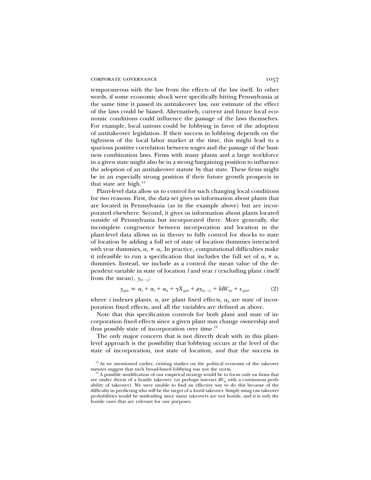temporaneous with the law from the effects of the law itself. In other words, if some economic shock were specifically hitting Pennsylvania at the same time it passed its antitakeover law, our estimate of the effect of the laws could be biased. Alternatively, current and future local economic conditions could influence the passage of the laws themselves. For example, local unions could be lobbying in favor of the adoption of antitakeover legislation. If their success in lobbying depends on the tightness of the local labor market at the time, this might lead to a spurious positive correlation between wages and the passage of the business combination laws. Firms with many plants and a large workforce in a given state might also be in a strong bargaining position to influence the adoption of an antitakeover statute by that state. These firms might be in an especially strong position if their future growth prospects in that state are high. $13$ 

Plant-level data allow us to control for such changing local conditions for two reasons. First, the data set gives us information about plants that are located in Pennsylvania (as in the example above) but are incorporated elsewhere. Second, it gives us information about plants located outside of Pennsylvania but incorporated there. More generally, the incomplete congruence between incorporation and location in the plant-level data allows us in theory to fully control for shocks to state of location by adding a full set of state of location dummies interacted with year dummies,  $\alpha_i \times \alpha_i$ . In practice, computational difficulties make it infeasible to run a specification that includes the full set of  $\alpha_l \times \alpha_l$ dummies. Instead, we include as a control the mean value of the dependent variable in state of location *l* and year *t* (excluding plant *i* itself from the mean),  $y_{u(-i)}$ :

$$
y_{ijkl} = \alpha_t + \alpha_i + \alpha_k + \gamma X_{ijkl} + \rho y_{lt(-i)} + \delta BC_{kt} + \epsilon_{ijkl}, \qquad (2)
$$

where *i* indexes plants,  $\alpha_i$  are plant fixed effects,  $\alpha_k$  are state of incorporation fixed effects, and all the variables are defined as above.

Note that this specification controls for both plant and state of incorporation fixed effects since a given plant may change ownership and thus possibly state of incorporation over time.<sup>14</sup>

The only major concern that is not directly dealt with in this plantlevel approach is the possibility that lobbying occurs at the level of the state of incorporation, not state of location, *and* that the success in

<sup>&</sup>lt;sup>13</sup> As we mentioned earlier, existing studies on the political economy of the takeover statutes suggest that such broad-based lobbying was not the norm.

<sup>&</sup>lt;sup>4</sup> A possible modification of our empirical strategy would be to focus only on firms that are under threat of a hostile takeover (or perhaps interact  $BC_{kt}$  with a continuous probability of takeover). We were unable to find an effective way to do this because of the difficulty in predicting who will be the target of a *hostile* takeover. Simply using raw takeover probabilities would be misleading since many takeovers are not hostile, and it is only the hostile ones that are relevant for our purposes.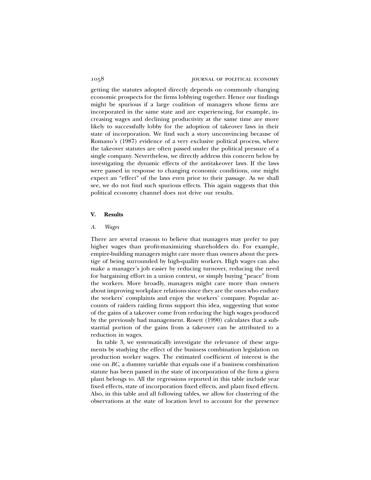getting the statutes adopted directly depends on commonly changing economic prospects for the firms lobbying together. Hence our findings might be spurious if a large coalition of managers whose firms are incorporated in the same state and are experiencing, for example, increasing wages and declining productivity at the same time are more likely to successfully lobby for the adoption of takeover laws in their state of incorporation. We find such a story unconvincing because of Romano's (1987) evidence of a very exclusive political process, where the takeover statutes are often passed under the political pressure of a single company. Nevertheless, we directly address this concern below by investigating the dynamic effects of the antitakeover laws. If the laws were passed in response to changing economic conditions, one might expect an "effect" of the laws even prior to their passage. As we shall see, we do not find such spurious effects. This again suggests that this political economy channel does not drive our results.

### **V. Results**

### *A. Wages*

There are several reasons to believe that managers may prefer to pay higher wages than profit-maximizing shareholders do. For example, empire-building managers might care more than owners about the prestige of being surrounded by high-quality workers. High wages can also make a manager's job easier by reducing turnover, reducing the need for bargaining effort in a union context, or simply buying "peace" from the workers. More broadly, managers might care more than owners about improving workplace relations since they are the ones who endure the workers' complaints and enjoy the workers' company. Popular accounts of raiders raiding firms support this idea, suggesting that some of the gains of a takeover come from reducing the high wages produced by the previously bad management. Rosett (1990) calculates that a substantial portion of the gains from a takeover can be attributed to a reduction in wages.

In table 3, we systematically investigate the relevance of these arguments by studying the effect of the business combination legislation on production worker wages. The estimated coefficient of interest is the one on *BC,* a dummy variable that equals one if a business combination statute has been passed in the state of incorporation of the firm a given plant belongs to. All the regressions reported in this table include year fixed effects, state of incorporation fixed effects, and plant fixed effects. Also, in this table and all following tables, we allow for clustering of the observations at the state of location level to account for the presence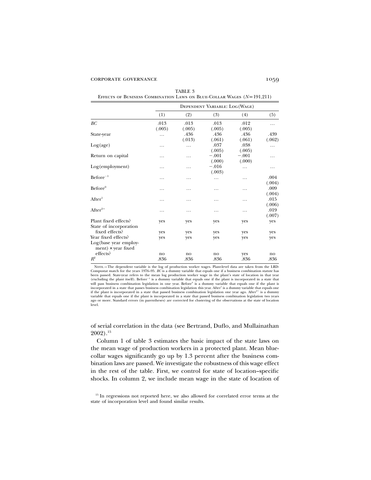TABLE 3 EFFECTS OF BUSINESS COMBINATION LAWS ON BLUE-COLLAR WAGES ( $N=191,211$ )

|                                                                    | DEPENDENT VARIABLE: LOG(WAGE) |                |                          |                          |                |  |
|--------------------------------------------------------------------|-------------------------------|----------------|--------------------------|--------------------------|----------------|--|
|                                                                    | (1)                           | (2)            | (3)                      | (4)                      | (5)            |  |
| ВC                                                                 | .013<br>(.005)                | .013<br>(.005) | .013<br>(.005)           | .012<br>(.005)           | .              |  |
| State-year                                                         | .                             | .436           | .436                     | .436                     | .439           |  |
| Log(age)                                                           | .                             | (.013)<br>.    | (.061)<br>.037<br>(.005) | (.061)<br>.038<br>(.005) | (.062)<br>.    |  |
| Return on capital                                                  | .                             | .              | $-.001$<br>(.000)        | $-.001$<br>(.000)        | .              |  |
| Log(employment)                                                    | .                             | .              | $-.016$<br>(.003)        | $\cdots$                 |                |  |
| $Before^{-1}$                                                      | .                             | .              | .                        | $\cdot$                  | .004<br>(.004) |  |
| Before <sup>0</sup>                                                | .                             | .              | $\cdots$                 | $\cdots$                 | .009<br>(.004) |  |
| After <sup>1</sup>                                                 | .                             | .              | .                        | .                        | .015<br>(.006) |  |
| $\rm{After}^{2+}$                                                  | .                             | .              | .                        | $\cdot$                  | .019<br>(.007) |  |
| Plant fixed effects?<br>State of incorporation                     | yes                           | yes            | yes                      | yes                      | yes            |  |
| fixed effects?                                                     | yes                           | yes            | yes                      | yes                      | yes            |  |
| Year fixed effects?<br>Log(base year employ-<br>ment) × year fixed | yes                           | yes            | yes                      | yes                      | yes            |  |
| effects?                                                           | no                            | no             | no                       | yes                      | no             |  |
| $R^2$                                                              | .836                          | .836           | .836                     | .836                     | .836           |  |

NOTE.-The dependent variable is the log of production worker wages. Plant-level data are taken from the LRD-Compustat match for the years 1976–95. *BC* is a dummy variable that equals one if a business combination statute has been passed. State-year refers to the mean log production worker wage in the plant's state of location in that year<br>(excluding the plant itself). Before<sup>-1</sup> is a dummy variable that equals one if the plant is incorporated incorporated in a state that passes business combination legislation this year. After<sup>1</sup> is a dummy variable that equals one if the plant is incorporated in a state that passed business combination legislation one year ago. After<sup>2+</sup> is a dummy variable that equals one if the plant is incorporated in a state that passed business combination legislation two years<br>ago or more. Standard errors (in parentheses) are corrected for clustering of the observations at the

of serial correlation in the data (see Bertrand, Duflo, and Mullainathan 2002).<sup>15</sup>

Column 1 of table 3 estimates the basic impact of the state laws on the mean wage of production workers in a protected plant. Mean bluecollar wages significantly go up by 1.3 percent after the business combination laws are passed. We investigate the robustness of this wage effect in the rest of the table. First, we control for state of location–specific shocks. In column 2, we include mean wage in the state of location of

<sup>&</sup>lt;sup>15</sup> In regressions not reported here, we also allowed for correlated error terms at the state of incorporation level and found similar results.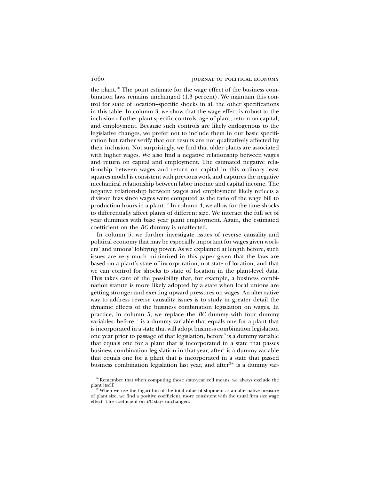the plant.<sup>16</sup> The point estimate for the wage effect of the business combination laws remains unchanged (1.3 percent). We maintain this control for state of location–specific shocks in all the other specifications in this table. In column 3, we show that the wage effect is robust to the inclusion of other plant-specific controls: age of plant, return on capital, and employment. Because such controls are likely endogenous to the legislative changes, we prefer not to include them in our basic specification but rather verify that our results are not qualitatively affected by their inclusion. Not surprisingly, we find that older plants are associated with higher wages. We also find a negative relationship between wages and return on capital and employment. The estimated negative relationship between wages and return on capital in this ordinary least squares model is consistent with previous work and captures the negative mechanical relationship between labor income and capital income. The negative relationship between wages and employment likely reflects a division bias since wages were computed as the ratio of the wage bill to production hours in a plant.<sup>17</sup> In column 4, we allow for the time shocks to differentially affect plants of different size. We interact the full set of year dummies with base year plant employment. Again, the estimated coefficient on the *BC* dummy is unaffected.

In column 5, we further investigate issues of reverse causality and political economy that may be especially important for wages given workers' and unions' lobbying power. As we explained at length before, such issues are very much minimized in this paper given that the laws are based on a plant's state of incorporation, not state of location, and that we can control for shocks to state of location in the plant-level data. This takes care of the possibility that, for example, a business combination statute is more likely adopted by a state when local unions are getting stronger and exerting upward pressures on wages. An alternative way to address reverse causality issues is to study in greater detail the dynamic effects of the business combination legislation on wages. In practice, in column 5, we replace the *BC* dummy with four dummy variables: before $^{-1}$  is a dummy variable that equals one for a plant that is incorporated in a state that will adopt business combination legislation one year prior to passage of that legislation, before $^{\circ}$  is a dummy variable that equals one for a plant that is incorporated in a state that passes business combination legislation in that year, after  $\mathbf{r}$  is a dummy variable that equals one for a plant that is incorporated in a state that passed business combination legislation last year, and after  $2^+$  is a dummy var-

<sup>&</sup>lt;sup>16</sup> Remember that when computing those state-year cell means, we always exclude the plant itself.

<sup>&</sup>lt;sup>17</sup> When we use the logarithm of the total value of shipment as an alternative measure of plant size, we find a positive coefficient, more consistent with the usual firm size wage effect. The coefficient on *BC* stays unchanged.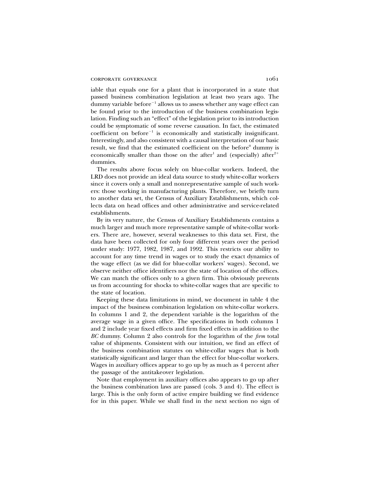### CORPORATE GOVERNANCE 1061

iable that equals one for a plant that is incorporated in a state that passed business combination legislation at least two years ago. The dummy variable before<sup>-1</sup> allows us to assess whether any wage effect can be found prior to the introduction of the business combination legislation. Finding such an "effect" of the legislation prior to its introduction could be symptomatic of some reverse causation. In fact, the estimated coefficient on before<sup>-1</sup> is economically and statistically insignificant. Interestingly, and also consistent with a causal interpretation of our basic result, we find that the estimated coefficient on the before $^0$  dummy is economically smaller than those on the after<sup>1</sup> and (especially) after<sup>2+</sup> dummies.

The results above focus solely on blue-collar workers. Indeed, the LRD does not provide an ideal data source to study white-collar workers since it covers only a small and nonrepresentative sample of such workers: those working in manufacturing plants. Therefore, we briefly turn to another data set, the Census of Auxiliary Establishments, which collects data on head offices and other administrative and service-related establishments.

By its very nature, the Census of Auxiliary Establishments contains a much larger and much more representative sample of white-collar workers. There are, however, several weaknesses to this data set. First, the data have been collected for only four different years over the period under study: 1977, 1982, 1987, and 1992. This restricts our ability to account for any time trend in wages or to study the exact dynamics of the wage effect (as we did for blue-collar workers' wages). Second, we observe neither office identifiers nor the state of location of the offices. We can match the offices only to a given firm. This obviously prevents us from accounting for shocks to white-collar wages that are specific to the state of location.

Keeping these data limitations in mind, we document in table 4 the impact of the business combination legislation on white-collar workers. In columns 1 and 2, the dependent variable is the logarithm of the average wage in a given office. The specifications in both columns 1 and 2 include year fixed effects and firm fixed effects in addition to the *BC* dummy. Column 2 also controls for the logarithm of the *firm* total value of shipments. Consistent with our intuition, we find an effect of the business combination statutes on white-collar wages that is both statistically significant and larger than the effect for blue-collar workers. Wages in auxiliary offices appear to go up by as much as 4 percent after the passage of the antitakeover legislation.

Note that employment in auxiliary offices also appears to go up after the business combination laws are passed (cols. 3 and 4). The effect is large. This is the only form of active empire building we find evidence for in this paper. While we shall find in the next section no sign of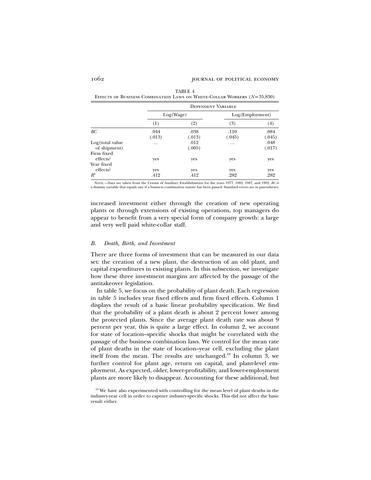|                                      |                | <b>DEPENDENT VARIABLE</b> |                |                 |  |  |  |
|--------------------------------------|----------------|---------------------------|----------------|-----------------|--|--|--|
|                                      |                | Log(Wage)                 |                | Log(Employment) |  |  |  |
|                                      | (1)            | (2)                       | (3)            | $^{(4)}$        |  |  |  |
| BС                                   | .044<br>(.013) | .038<br>(.013)            | .110<br>(.045) | .084<br>(.045)  |  |  |  |
| Log(total value<br>of shipment)      | $\cdots$       | .012<br>(.005)            | $\cdots$       | .048<br>(.017)  |  |  |  |
| Firm fixed<br>effects?<br>Year fixed | yes            | yes                       | yes            | yes             |  |  |  |
| effects?<br>$R^2$                    | yes<br>.412    | yes<br>.412               | yes<br>.282    | yes<br>.282     |  |  |  |

TABLE 4 EFFECTS OF BUSINESS COMBINATION LAWS ON WHITE-COLLAR WORKERS ( $N=35,830$ )

Note.—Data are taken from the Census of Auxiliary Establishments for the years 1977, 1982, 1987, and 1992. *BC* is a dummy variable that equals one if a business combination statute has been passed. Standard errors are in parentheses.

increased investment either through the creation of new operating plants or through extensions of existing operations, top managers do appear to benefit from a very special form of company growth: a large and very well paid white-collar staff.

### *B. Death, Birth, and Investment*

There are three forms of investment that can be measured in our data set: the creation of a new plant, the destruction of an old plant, and capital expenditures in existing plants. In this subsection, we investigate how these three investment margins are affected by the passage of the antitakeover legislation.

In table 5, we focus on the probability of plant death. Each regression in table 5 includes year fixed effects and firm fixed effects. Column 1 displays the result of a basic linear probability specification. We find that the probability of a plant death is about 2 percent lower among the protected plants. Since the average plant death rate was about 9 percent per year, this is quite a large effect. In column 2, we account for state of location–specific shocks that might be correlated with the passage of the business combination laws. We control for the mean rate of plant deaths in the state of location–year cell, excluding the plant itself from the mean. The results are unchanged.<sup>18</sup> In column 3, we further control for plant age, return on capital, and plant-level employment. As expected, older, lower-profitability, and lower-employment plants are more likely to disappear. Accounting for these additional, but

<sup>&</sup>lt;sup>18</sup> We have also experimented with controlling for the mean level of plant deaths in the industry-year cell in order to capture industry-specific shocks. This did not affect the basic result either.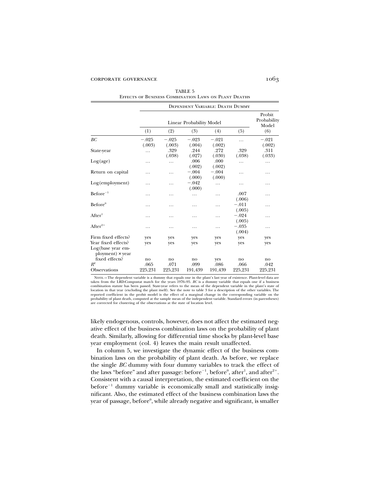TABLE 5 Effects of Business Combination Laws on Plant Deaths

|                                                                        | DEPENDENT VARIABLE: DEATH DUMMY |                          |                   |                   |                   |                   |  |  |  |
|------------------------------------------------------------------------|---------------------------------|--------------------------|-------------------|-------------------|-------------------|-------------------|--|--|--|
|                                                                        |                                 | Linear Probability Model |                   |                   |                   |                   |  |  |  |
|                                                                        | (1)                             | (2)                      | (3)               | (4)               | (5)               | (6)               |  |  |  |
| BC                                                                     | $-.025$<br>(.003)               | $-.025$<br>(.003)        | $-.023$<br>(.004) | $-.021$<br>(.002) | .                 | $-.021$<br>(.002) |  |  |  |
| State-year                                                             | .                               | .329<br>(.038)           | .244<br>(.027)    | .272<br>(.030)    | .329<br>(.038)    | .311<br>(.033)    |  |  |  |
| Log(age)                                                               | .                               | .                        | .006<br>(.002)    | .000<br>(.002)    | .                 | .                 |  |  |  |
| Return on capital                                                      | .                               | .                        | $-.004$<br>(.000) | $-.004$<br>(.000) | .                 | .                 |  |  |  |
| Log(employment)                                                        | .                               | .                        | $-.042$<br>(.000) | .                 | .                 | .                 |  |  |  |
| $Before^{-1}$                                                          | .                               | .                        | .                 | .                 | .007<br>(.006)    | .                 |  |  |  |
| Before <sup>0</sup>                                                    | .                               | .                        | .                 | .                 | $-.011$<br>(.005) | .                 |  |  |  |
| After <sup>1</sup>                                                     | .                               | .                        | .                 | .                 | $-.024$<br>(.005) | $\cdots$          |  |  |  |
| $After2+$                                                              | .                               | .                        | .                 | .                 | $-.035$<br>(.004) | .                 |  |  |  |
| Firm fixed effects?                                                    | yes                             | yes                      | yes               | yes               | yes               | yes               |  |  |  |
| Year fixed effects?<br>Log(base year em-<br>$p$ loyment) $\times$ year | yes                             | yes                      | yes               | yes               | yes               | yes               |  |  |  |
| fixed effects?<br>$R^2$                                                | no                              | no                       | no                | yes               | no                | no                |  |  |  |
| <b>Observations</b>                                                    | .065<br>225,231                 | .071<br>225,231          | .099<br>191,439   | .086<br>191,439   | .066<br>225,231   | .042<br>225,231   |  |  |  |
|                                                                        |                                 |                          |                   |                   |                   |                   |  |  |  |

NOTE. - The dependent variable is a dummy that equals one in the plant's last year of existence. Plant-level data are taken from the LRD-Compustat match for the years 1976–95. *BC* is a dummy variable that equals one if a business combination statute has been passed. State-year refers to the mean of the dependent variable in the plant's state of<br>location in that year (excluding the plant itself). See the note to table 3 for a description of the othe reported coefficient in the probit model is the effect of a marginal change in the corresponding variable on the probability of plant death, computed at the sample mean of the independent variable. Standard errors (in parentheses) are corrected for clustering of the observations at the state of location level.

likely endogenous, controls, however, does not affect the estimated negative effect of the business combination laws on the probability of plant death. Similarly, allowing for differential time shocks by plant-level base year employment (col. 4) leaves the main result unaffected.

In column 5, we investigate the dynamic effect of the business combination laws on the probability of plant death. As before, we replace the single *BC* dummy with four dummy variables to track the effect of the laws "before" and after passage: before $^{-1}$ , before $^0$ , after $^1$ , and after $^{2+}$ . Consistent with a causal interpretation, the estimated coefficient on the before<sup>-1</sup> dummy variable is economically small and statistically insignificant. Also, the estimated effect of the business combination laws the year of passage, before $^{\rm 0}$ , while already negative and significant, is smaller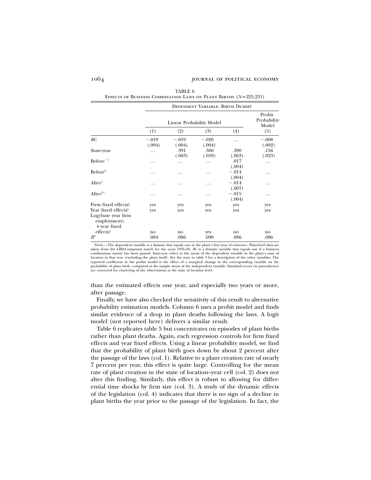| TABLE 6 |                                                                    |  |  |  |  |
|---------|--------------------------------------------------------------------|--|--|--|--|
|         | EFFECTS OF BUSINESS COMBINATION LAWS ON PLANT BIRTHS $(N=225,231)$ |  |  |  |  |

|                                                                           | DEPENDENT VARIABLE: BIRTH DUMMY |                   |                                 |                          |                                       |  |  |
|---------------------------------------------------------------------------|---------------------------------|-------------------|---------------------------------|--------------------------|---------------------------------------|--|--|
|                                                                           | (1)                             | (2)               | Linear Probability Model<br>(3) | (4)                      | Probit<br>Probability<br>Model<br>(5) |  |  |
|                                                                           |                                 |                   |                                 |                          |                                       |  |  |
| BC                                                                        | $-.019$<br>(.004)               | $-.019$<br>(.004) | $-.020$<br>(.004)               | .                        | $-.008$<br>(.002)                     |  |  |
| State-year                                                                | $\ddotsc$                       | .391              | .360                            | .390                     | .156                                  |  |  |
| $Before^{-1}$                                                             | $\cdots$                        | (.063)<br>.       | (.059)<br>.                     | (.063)<br>.017<br>(.004) | (.023)<br>.                           |  |  |
| Before <sup>0</sup>                                                       | .                               | .                 | .                               | $-.014$<br>(.004)        | .                                     |  |  |
| After <sup>1</sup>                                                        | .                               | .                 | .                               | $-.014$<br>(.007)        | .                                     |  |  |
| $After2+$                                                                 | .                               | .                 | .                               | $-.015$<br>(.004)        | .                                     |  |  |
| Firm fixed effects?                                                       | yes                             | yes               | yes                             | yes                      | yes                                   |  |  |
| Year fixed effects?<br>Log(base year firm)<br>employment)<br>x year fixed | yes                             | yes               | yes                             | yes                      | yes                                   |  |  |
| effects?<br>$R^2$                                                         | no                              | $\mathbf{n}$      | yes                             | no                       | $\mathbf{n}\mathbf{o}$                |  |  |
|                                                                           | .084                            | .086              | .090                            | .086                     | .086                                  |  |  |

Note.—The dependent variable is a dummy that equals one in the plant's first year of existence. Plant-level data are taken from the LRD-Compustat match for the years 1976–95. *BC* is a dummy variable that equals one if a business<br>combination statute has been passed. State-year refers to the mean of the dependent variable in the plant's s location in that year (excluding the plant itself). See the note to table 3 for a description of the other variables. The reported coefficient in the probit model is the effect of a marginal change in the corresponding variable on the<br>probability of plant birth, computed at the sample mean of the independent variable. Standard errors (in pare

than the estimated effects one year, and especially two years or more, after passage.

Finally, we have also checked the sensitivity of this result to alternative probability estimation models. Column 6 uses a probit model and finds similar evidence of a drop in plant deaths following the laws. A logit model (not reported here) delivers a similar result.

Table 6 replicates table 5 but concentrates on episodes of plant births rather than plant deaths. Again, each regression controls for firm fixed effects and year fixed effects. Using a linear probability model, we find that the probability of plant birth goes down by about 2 percent after the passage of the laws (col. 1). Relative to a plant creation rate of nearly 7 percent per year, this effect is quite large. Controlling for the mean rate of plant creation in the state of location–year cell (col. 2) does not alter this finding. Similarly, this effect is robust to allowing for differential time shocks by firm size (col. 3). A study of the dynamic effects of the legislation (col. 4) indicates that there is no sign of a decline in plant births the year prior to the passage of the legislation. In fact, the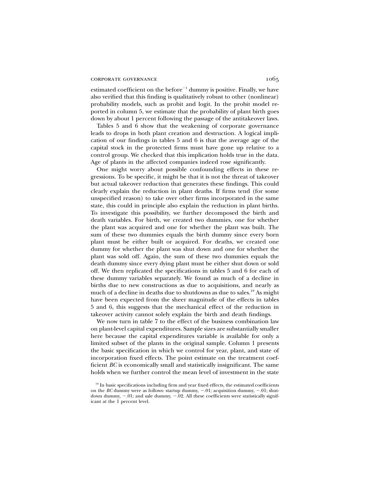estimated coefficient on the before<sup>-1</sup> dummy is positive. Finally, we have also verified that this finding is qualitatively robust to other (nonlinear) probability models, such as probit and logit. In the probit model reported in column 5, we estimate that the probability of plant birth goes down by about 1 percent following the passage of the antitakeover laws.

Tables 5 and 6 show that the weakening of corporate governance leads to drops in both plant creation and destruction. A logical implication of our findings in tables 5 and 6 is that the average age of the capital stock in the protected firms must have gone up relative to a control group. We checked that this implication holds true in the data. Age of plants in the affected companies indeed rose significantly.

One might worry about possible confounding effects in these regressions. To be specific, it might be that it is not the threat of takeover but actual takeover reduction that generates these findings. This could clearly explain the reduction in plant deaths. If firms tend (for some unspecified reason) to take over other firms incorporated in the same state, this could in principle also explain the reduction in plant births. To investigate this possibility, we further decomposed the birth and death variables. For birth, we created two dummies, one for whether the plant was acquired and one for whether the plant was built. The sum of these two dummies equals the birth dummy since every born plant must be either built or acquired. For deaths, we created one dummy for whether the plant was shut down and one for whether the plant was sold off. Again, the sum of these two dummies equals the death dummy since every dying plant must be either shut down or sold off. We then replicated the specifications in tables 5 and 6 for each of these dummy variables separately. We found as much of a decline in births due to new constructions as due to acquisitions, and nearly as much of a decline in deaths due to shutdowns as due to sales.<sup>19</sup> As might have been expected from the sheer magnitude of the effects in tables 5 and 6, this suggests that the mechanical effect of the reduction in takeover activity cannot solely explain the birth and death findings.

We now turn in table 7 to the effect of the business combination law on plant-level capital expenditures. Sample sizes are substantially smaller here because the capital expenditures variable is available for only a limited subset of the plants in the original sample. Column 1 presents the basic specification in which we control for year, plant, and state of incorporation fixed effects. The point estimate on the treatment coefficient *BC* is economically small and statistically insignificant. The same holds when we further control the mean level of investment in the state

<sup>&</sup>lt;sup>19</sup> In basic specifications including firm and year fixed effects, the estimated coefficients on the *BC* dummy were as follows: startup dummy,  $-.01$ ; acquisition dummy,  $-.01$ ; shutdown dummy, -.01; and sale dummy, -.02. All these coefficients were statistically significant at the 1 percent level.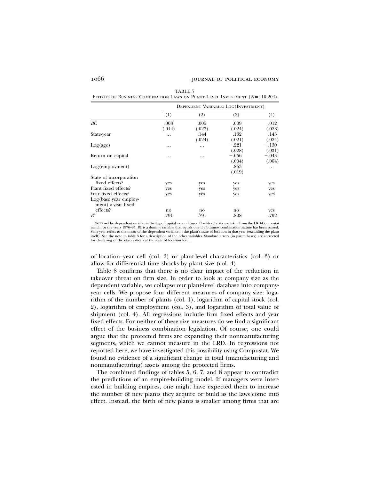| 'ABLE<br>٠ | ٠ |
|------------|---|
|------------|---|

EFFECTS OF BUSINESS COMBINATION LAWS ON PLANT-LEVEL INVESTMENT ( $N=110,204$ )

|                        | DEPENDENT VARIABLE: LOG(INVESTMENT) |          |         |         |  |  |
|------------------------|-------------------------------------|----------|---------|---------|--|--|
|                        | (1)                                 | (2)      | (3)     | (4)     |  |  |
| ВC                     | .008                                | .005     | .009    | .012    |  |  |
|                        | (.014)                              | (.023)   | (.024)  | (.023)  |  |  |
| State-year             | .                                   | .144     | .132    | .143    |  |  |
|                        |                                     | (.024)   | (.021)  | (.024)  |  |  |
| Log(age)               | .                                   | $\cdots$ | $-.221$ | $-.130$ |  |  |
|                        |                                     |          | (.028)  | (.031)  |  |  |
| Return on capital      | $\cdots$                            | $\cdots$ | $-.056$ | $-.043$ |  |  |
|                        |                                     |          | (.004)  | (.004)  |  |  |
| Log(employment)        |                                     |          | .853    | .       |  |  |
|                        |                                     |          | (.019)  |         |  |  |
| State of incorporation |                                     |          |         |         |  |  |
| fixed effects?         | yes                                 | yes      | yes     | yes     |  |  |
| Plant fixed effects?   | yes                                 | yes      | yes     | yes     |  |  |
| Year fixed effects?    | yes                                 | yes      | yes     | yes     |  |  |
| Log(base year employ-  |                                     |          |         |         |  |  |
| ment) × year fixed     |                                     |          |         |         |  |  |
| effects?               | no                                  | no       | no      | yes     |  |  |
| $R^2$                  | .791                                | .791     | .808    | .792    |  |  |

Nore.—The dependent variable is the log of capital expenditures. Plant-level data are taken from the LRD-Compustat<br>match for the years 1976–95. BC is a dummy variable that equals one if a business combination statute has b State-year refers to the mean of the dependent variable in the plant's state of location in that year (excluding the plant itself). See the note to table 3 for a description of the other variables. Standard errors (in parentheses) are corrected for clustering of the observations at the state of location level.

of location–year cell (col. 2) or plant-level characteristics (col. 3) or allow for differential time shocks by plant size (col. 4).

Table 8 confirms that there is no clear impact of the reduction in takeover threat on firm size. In order to look at company size as the dependent variable, we collapse our plant-level database into companyyear cells. We propose four different measures of company size: logarithm of the number of plants (col. 1), logarithm of capital stock (col. 2), logarithm of employment (col. 3), and logarithm of total value of shipment (col. 4). All regressions include firm fixed effects and year fixed effects. For neither of these size measures do we find a significant effect of the business combination legislation. Of course, one could argue that the protected firms are expanding their nonmanufacturing segments, which we cannot measure in the LRD. In regressions not reported here, we have investigated this possibility using Compustat. We found no evidence of a significant change in total (manufacturing and nonmanufacturing) assets among the protected firms.

The combined findings of tables 5, 6, 7, and 8 appear to contradict the predictions of an empire-building model. If managers were interested in building empires, one might have expected them to increase the number of new plants they acquire or build as the laws come into effect. Instead, the birth of new plants is smaller among firms that are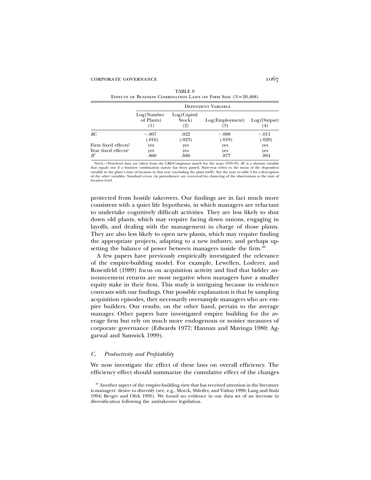| EFFECTS OF BUSINESS COMBINATION LAWS ON FIRM SIZE $(N=20,468)$ |                                  |                               |                        |                    |  |  |  |  |
|----------------------------------------------------------------|----------------------------------|-------------------------------|------------------------|--------------------|--|--|--|--|
|                                                                | <b>DEPENDENT VARIABLE</b>        |                               |                        |                    |  |  |  |  |
|                                                                | Log(Number)<br>of Plants)<br>(1) | Log(Capital)<br>Stock)<br>(2) | Log(Employment)<br>(3) | Log(Output)<br>(4) |  |  |  |  |
| ВC                                                             | $-.007$<br>(.016)                | .022<br>(.023)                | $-.008$<br>(.019)      | $-.011$<br>(.020)  |  |  |  |  |
| Firm fixed effects?<br>Year fixed effects?<br>$R^2$            | yes<br>yes<br>.860               | yes<br>yes<br>.880            | yes<br>yes<br>.877     | yes<br>yes<br>.894 |  |  |  |  |

TABLE 8 Effects of Business Combination Laws on Firm Size ( $N=20,468$ )

Note.—Firm-level data are taken from the LRD-Compustat match for the years 1976–95. *BC* is a dummy variable that equals one if a business combination statute has been passed. State-year refers to the mean of the dependent variable in the plant's state of location in that year (excluding the plant itself). See the note to table 3 for a description of the other variables. Standard errors (in parentheses) are corrected for clustering of the observations at the state of location level.

protected from hostile takeovers. Our findings are in fact much more consistent with a quiet life hypothesis, in which managers are reluctant to undertake cognitively difficult activities. They are less likely to shut down old plants, which may require facing down unions, engaging in layoffs, and dealing with the management in charge of those plants. They are also less likely to open new plants, which may require finding the appropriate projects, adapting to a new industry, and perhaps upsetting the balance of power between managers inside the firm.<sup>20</sup>

A few papers have previously empirically investigated the relevance of the empire-building model. For example, Lewellen, Loderer, and Rosenfeld (1989) focus on acquisition activity and find that bidder announcement returns are most negative when managers have a smaller equity stake in their firm. This study is intriguing because its evidence contrasts with our findings. One possible explanation is that by sampling acquisition episodes, they necessarily oversample managers who are empire builders. Our results, on the other hand, pertain to the average manager. Other papers have investigated empire building for the average firm but rely on much more endogenous or noisier measures of corporate governance (Edwards 1977; Hannan and Mavinga 1980; Aggarwal and Samwick 1999).

### *C. Productivity and Profitability*

We now investigate the effect of these laws on overall efficiency. The efficiency effect should summarize the cumulative effect of the changes

<sup>&</sup>lt;sup>20</sup> Another aspect of the empire-building view that has received attention in the literature is managers' desire to diversify (see, e.g., Morck, Shleifer, and Vishny 1990; Lang and Stulz 1994; Berger and Ofek 1995). We found no evidence in our data set of an increase in diversification following the antitakeover legislation.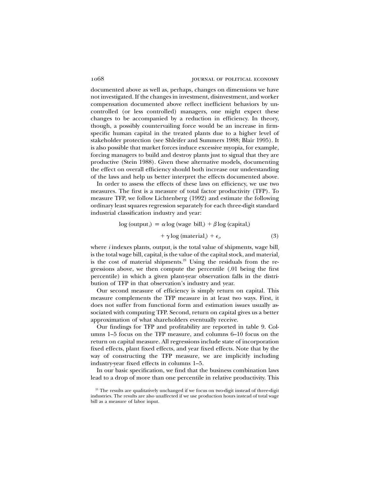documented above as well as, perhaps, changes on dimensions we have not investigated. If the changes in investment, disinvestment, and worker compensation documented above reflect inefficient behaviors by uncontrolled (or less controlled) managers, one might expect these changes to be accompanied by a reduction in efficiency. In theory, though, a possibly countervailing force would be an increase in firmspecific human capital in the treated plants due to a higher level of stakeholder protection (see Shleifer and Summers 1988; Blair 1995). It is also possible that market forces induce excessive myopia, for example, forcing managers to build and destroy plants just to signal that they are productive (Stein 1988). Given these alternative models, documenting the effect on overall efficiency should both increase our understanding of the laws and help us better interpret the effects documented above.

In order to assess the effects of these laws on efficiency, we use two measures. The first is a measure of total factor productivity (TFP). To measure TFP, we follow Lichtenberg (1992) and estimate the following ordinary least squares regression separately for each three-digit standard industrial classification industry and year:

$$
log (outputi) = \alpha log (wage billi) + \beta log (capitali)
$$

$$
+ \gamma log (materiali) + \epsiloni
$$
(3)

where *i* indexes plants, output*<sup>i</sup>* is the total value of shipments, wage bill*<sup>i</sup>* is the total wage bill, capital*<sup>i</sup>* is the value of the capital stock, and material*<sup>i</sup>* is the cost of material shipments. $21$  Using the residuals from the regressions above, we then compute the percentile (.01 being the first percentile) in which a given plant-year observation falls in the distribution of TFP in that observation's industry and year.

Our second measure of efficiency is simply return on capital. This measure complements the TFP measure in at least two ways. First, it does not suffer from functional form and estimation issues usually associated with computing TFP. Second, return on capital gives us a better approximation of what shareholders eventually receive.

Our findings for TFP and profitability are reported in table 9. Columns 1–5 focus on the TFP measure, and columns 6–10 focus on the return on capital measure. All regressions include state of incorporation fixed effects, plant fixed effects, and year fixed effects. Note that by the way of constructing the TFP measure, we are implicitly including industry-year fixed effects in columns 1–5.

In our basic specification, we find that the business combination laws lead to a drop of more than one percentile in relative productivity. This

<sup>&</sup>lt;sup>21</sup> The results are qualitatively unchanged if we focus on two-digit instead of three-digit industries. The results are also unaffected if we use production hours instead of total wage bill as a measure of labor input.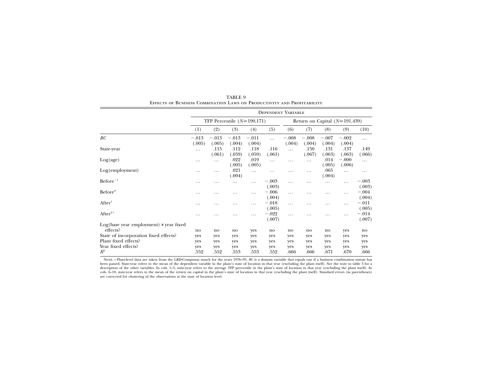|                                                 | <b>DEPENDENT VARIABLE</b>    |                   |                   |                   |                   |                   |                   |                                 |                   |                   |
|-------------------------------------------------|------------------------------|-------------------|-------------------|-------------------|-------------------|-------------------|-------------------|---------------------------------|-------------------|-------------------|
|                                                 | TFP Percentile $(N=190,171)$ |                   |                   |                   |                   |                   |                   | Return on Capital $(N=191,439)$ |                   |                   |
|                                                 | (1)                          | (2)               | (3)               | (4)               | (5)               | (6)               | (7)               | (8)                             | (9)               | (10)              |
| BC                                              | $-.013$<br>(.005)            | $-.013$<br>(.005) | $-.013$<br>(.004) | $-.011$<br>(.004) | $\cdots$          | $-.008$<br>(.004) | $-.008$<br>(.004) | $-.007$<br>(.004)               | $-.002$<br>(.004) | $\cdots$          |
| State-year                                      | $\cdots$                     | .115<br>(.061)    | .112<br>(.059)    | .118<br>(.059)    | .116<br>(.061)    | $\cdots$          | .150<br>(.067)    | .131<br>(.063)                  | .137<br>(.063)    | .149<br>(.066)    |
| Log(age)                                        | .                            | .                 | .022<br>(.005)    | .019<br>(.005)    | $\cdots$          | .                 | $\cdots$          | .014<br>(.005)                  | $-.000$<br>(.006) | $\cdots$          |
| Log(employment)                                 | .                            | .                 | .021<br>(.004)    | $\cdots$          | $\cdots$          | .                 | .                 | .065<br>(.004)                  | $\cdots$          | $\cdots$          |
| $Before^{-1}$                                   | .                            | .                 | .                 | $\cdots$          | $-.003$<br>(.003) | .                 | $\cdots$          | $\cdots$                        | $\cdots$          | $-.003$<br>(.003) |
| Before <sup>0</sup>                             | .                            | .                 | .                 | .                 | $-.006$<br>(.004) | .                 | $\cdots$          | .                               | .                 | $-.004$<br>(.004) |
| After <sup>1</sup>                              | .                            | .                 | $\cdots$          | $\cdots$          | $-.018$<br>(.005) | .                 | $\cdots$          | .                               | .                 | $-.011$<br>(.005) |
| After $2^+$                                     | .                            |                   | .                 | .                 | $-.022$<br>(.007) | .                 | .                 | .                               | .                 | $-.014$<br>(.007) |
| $Log(base$ year employment) $\times$ year fixed |                              |                   |                   |                   |                   |                   |                   |                                 |                   |                   |
| effects?                                        | no                           | no                | no                | yes               | no                | no                | no                | no                              | yes               | no                |
| State of incorporation fixed effects?           | yes                          | yes               | yes               | yes               | yes               | yes               | yes               | yes                             | yes               | yes               |
| Plant fixed effects?                            | yes                          | yes               | yes               | yes               | yes               | yes               | yes               | yes                             | yes               | yes               |
| Year fixed effects?<br>$R^2$                    | yes<br>.552                  | yes<br>.552       | yes<br>.553       | yes<br>.553       | yes<br>.552       | yes<br>.666       | yes<br>.666       | yes<br>.671                     | yes<br>.670       | yes<br>.666       |

TABLE 9 Effects of Business Combination Laws on Productivity and Profitability

Nore.—Plant-level data are taken from the LRD-Compustat match for the years 1976–95. *BC* is a dummy variable that equals one if a business combination statute has<br>been passed. State-year refers to the mean of the dependen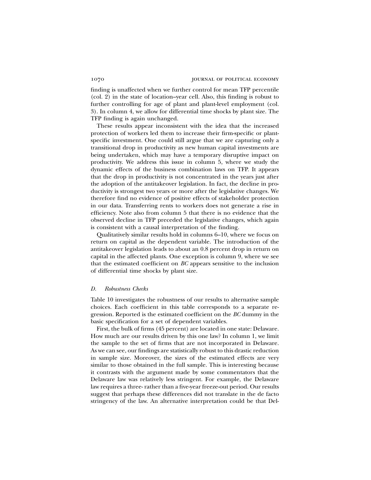finding is unaffected when we further control for mean TFP percentile (col. 2) in the state of location–year cell. Also, this finding is robust to further controlling for age of plant and plant-level employment (col. 3). In column 4, we allow for differential time shocks by plant size. The TFP finding is again unchanged.

These results appear inconsistent with the idea that the increased protection of workers led them to increase their firm-specific or plantspecific investment. One could still argue that we are capturing only a transitional drop in productivity as new human capital investments are being undertaken, which may have a temporary disruptive impact on productivity. We address this issue in column 5, where we study the dynamic effects of the business combination laws on TFP. It appears that the drop in productivity is not concentrated in the years just after the adoption of the antitakeover legislation. In fact, the decline in productivity is strongest two years or more after the legislative changes. We therefore find no evidence of positive effects of stakeholder protection in our data. Transferring rents to workers does not generate a rise in efficiency. Note also from column 5 that there is no evidence that the observed decline in TFP preceded the legislative changes, which again is consistent with a causal interpretation of the finding.

Qualitatively similar results hold in columns 6–10, where we focus on return on capital as the dependent variable. The introduction of the antitakeover legislation leads to about an 0.8 percent drop in return on capital in the affected plants. One exception is column 9, where we see that the estimated coefficient on *BC* appears sensitive to the inclusion of differential time shocks by plant size.

### *D. Robustness Checks*

Table 10 investigates the robustness of our results to alternative sample choices. Each coefficient in this table corresponds to a separate regression. Reported is the estimated coefficient on the *BC* dummy in the basic specification for a set of dependent variables.

First, the bulk of firms (45 percent) are located in one state: Delaware. How much are our results driven by this one law? In column 1, we limit the sample to the set of firms that are not incorporated in Delaware. As we can see, our findings are statistically robust to this drastic reduction in sample size. Moreover, the sizes of the estimated effects are very similar to those obtained in the full sample. This is interesting because it contrasts with the argument made by some commentators that the Delaware law was relatively less stringent. For example, the Delaware law requires a three- rather than a five-year freeze-out period. Our results suggest that perhaps these differences did not translate in the de facto stringency of the law. An alternative interpretation could be that Del-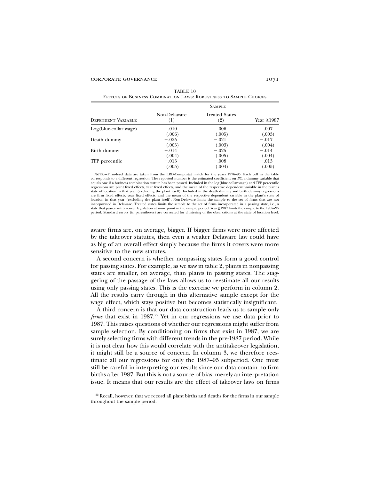TABLE 10 Effects of Business Combination Laws: Robustness to Sample Choices

|                           | <b>SAMPLE</b>       |                              |                  |  |  |  |
|---------------------------|---------------------|------------------------------|------------------|--|--|--|
| <b>DEPENDENT VARIABLE</b> | Non-Delaware<br>(1) | <b>Treated States</b><br>(2) | Year $\geq$ 1987 |  |  |  |
| $Log(blue$ -collar wage)  | .010                | .006                         | .007             |  |  |  |
|                           | (.006)              | (.005)                       | (.003)           |  |  |  |
| Death dummy               | $-.025$             | $-.021$                      | $-.017$          |  |  |  |
| Birth dummy               | (.005)              | (.003)                       | (.004)           |  |  |  |
|                           | $-.014$             | $-.025$                      | $-.014$          |  |  |  |
| TFP percentile            | (.004)              | (.005)                       | (.004)           |  |  |  |
|                           | $-.013$             | $-.008$                      | $-.013$          |  |  |  |
|                           | (.005)              | (.004)                       | (.005)           |  |  |  |

Note.—Firm-level data are taken from the LRD-Compustat match for the years 1976–95. Each cell in the table corresponds to a different regression. The reported number is the estimated coefficient on *BC,* a dummy variable that equals one if a business combination statute has been passed. Included in the log(blue-collar wage) and TFP percentile<br>regressions are plant fixed effects, year fixed effects, and the mean of the respective dependent varia state of location in that year (excluding the plant itself). Included in the death dummy and birth dummy regressions are firm fixed effects, year fixed effects, and the mean of the respective dependent variable in the plant's state of location in that year (excluding the plant itself). Non-Delaware limits the sample to the set of firms that are not incorporated in Delaware. Treated states limits the sample to the set of firms incorporated in a passing state, i.e., a<br>state that passes antitakeover legislation at some point in the sample period. Year ≥1987 limits the period. Standard errors (in parentheses) are corrected for clustering of the observations at the state of location level.

aware firms are, on average, bigger. If bigger firms were more affected by the takeover statutes, then even a weaker Delaware law could have as big of an overall effect simply because the firms it covers were more sensitive to the new statutes.

A second concern is whether nonpassing states form a good control for passing states. For example, as we saw in table 2, plants in nonpassing states are smaller, on average, than plants in passing states. The staggering of the passage of the laws allows us to reestimate all our results using only passing states. This is the exercise we perform in column 2. All the results carry through in this alternative sample except for the wage effect, which stays positive but becomes statistically insignificant.

A third concern is that our data construction leads us to sample only *firms* that exist in 1987.<sup>22</sup> Yet in our regressions we use data prior to 1987. This raises questions of whether our regressions might suffer from sample selection. By conditioning on firms that exist in 1987, we are surely selecting firms with different trends in the pre-1987 period. While it is not clear how this would correlate with the antitakeover legislation, it might still be a source of concern. In column 3, we therefore reestimate all our regressions for only the 1987–95 subperiod. One must still be careful in interpreting our results since our data contain no firm births after 1987. But this is not a source of bias, merely an interpretation issue. It means that our results are the effect of takeover laws on firms

<sup>&</sup>lt;sup>22</sup> Recall, however, that we record all plant births and deaths for the firms in our sample throughout the sample period.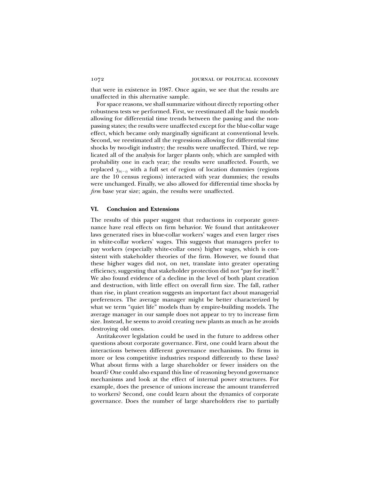that were in existence in 1987. Once again, we see that the results are unaffected in this alternative sample.

For space reasons, we shall summarize without directly reporting other robustness tests we performed. First, we reestimated all the basic models allowing for differential time trends between the passing and the nonpassing states; the results were unaffected except for the blue-collar wage effect, which became only marginally significant at conventional levels. Second, we reestimated all the regressions allowing for differential time shocks by two-digit industry; the results were unaffected. Third, we replicated all of the analysis for larger plants only, which are sampled with probability one in each year; the results were unaffected. Fourth, we replaced  $y_{u(-i)}$  with a full set of region of location dummies (regions are the 10 census regions) interacted with year dummies; the results were unchanged. Finally, we also allowed for differential time shocks by *firm* base year size; again, the results were unaffected.

### **VI. Conclusion and Extensions**

The results of this paper suggest that reductions in corporate governance have real effects on firm behavior. We found that antitakeover laws generated rises in blue-collar workers' wages and even larger rises in white-collar workers' wages. This suggests that managers prefer to pay workers (especially white-collar ones) higher wages, which is consistent with stakeholder theories of the firm. However, we found that these higher wages did not, on net, translate into greater operating efficiency, suggesting that stakeholder protection did not "pay for itself." We also found evidence of a decline in the level of both plant creation and destruction, with little effect on overall firm size. The fall, rather than rise, in plant creation suggests an important fact about managerial preferences. The average manager might be better characterized by what we term "quiet life" models than by empire-building models. The average manager in our sample does not appear to try to increase firm size. Instead, he seems to avoid creating new plants as much as he avoids destroying old ones.

Antitakeover legislation could be used in the future to address other questions about corporate governance. First, one could learn about the interactions between different governance mechanisms. Do firms in more or less competitive industries respond differently to these laws? What about firms with a large shareholder or fewer insiders on the board? One could also expand this line of reasoning beyond governance mechanisms and look at the effect of internal power structures. For example, does the presence of unions increase the amount transferred to workers? Second, one could learn about the dynamics of corporate governance. Does the number of large shareholders rise to partially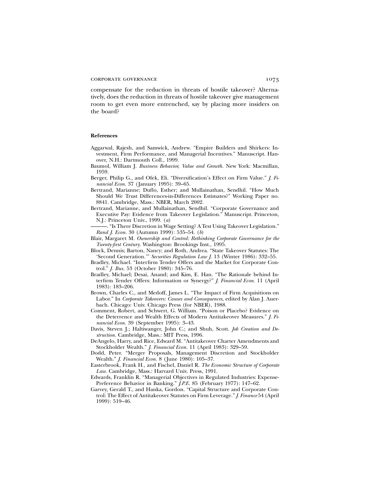compensate for the reduction in threats of hostile takeover? Alternatively, does the reduction in threats of hostile takeover give management room to get even more entrenched, say by placing more insiders on the board?

### **References**

- Aggarwal, Rajesh, and Samwick, Andrew. "Empire Builders and Shirkers: Investment, Firm Performance, and Managerial Incentives." Manuscript. Hanover, N.H.: Dartmouth Coll., 1999.
- Baumol, William J. *Business Behavior, Value and Growth.* New York: Macmillan, 1959.
- Berger, Philip G., and Ofek, Eli. "Diversification's Effect on Firm Value." *J. Financial Econ.* 37 (January 1995): 39–65.
- Bertrand, Marianne; Duflo, Esther; and Mullainathan, Sendhil. "How Much Should We Trust Differences-in-Differences Estimates?" Working Paper no. 8841. Cambridge, Mass.: NBER, March 2002.
- Bertrand, Marianne, and Mullainathan, Sendhil. "Corporate Governance and Executive Pay: Evidence from Takeover Legislation." Manuscript. Princeton, N.J.: Princeton Univ., 1999. (*a*)
- ———. "Is There Discretion in Wage Setting? A Test Using Takeover Legislation." *Rand J. Econ.* 30 (Autumn 1999): 535–54. (*b*)
- Blair, Margaret M. *Ownership and Control: Rethinking Corporate Governance for the Twenty-first Century.* Washington: Brookings Inst., 1995.
- Block, Dennis; Barton, Nancy; and Roth, Andrea. "State Takeover Statutes: The 'Second Generation.'" *Securities Regulation Law J.* 13 (Winter 1986): 332–55.
- Bradley, Michael. "Interfirm Tender Offers and the Market for Corporate Control." *J. Bus.* 53 (October 1980): 345–76.
- Bradley, Michael; Desai, Anand; and Kim, E. Han. "The Rationale behind Interfirm Tender Offers: Information or Synergy?" *J. Financial Econ.* 11 (April 1983): 183–206.
- Brown, Charles C., and Medoff, James L. "The Impact of Firm Acquisitions on Labor." In *Corporate Takeovers: Causes and Consequences,* edited by Alan J. Auerbach. Chicago: Univ. Chicago Press (for NBER), 1988.
- Comment, Robert, and Schwert, G. William. "Poison or Placebo? Evidence on the Deterrence and Wealth Effects of Modern Antitakeover Measures." *J. Financial Econ.* 39 (September 1995): 3–43.
- Davis, Steven J.; Haltiwanger, John C.; and Shuh, Scott. *Job Creation and Destruction.* Cambridge, Mass.: MIT Press, 1996.
- DeAngelo, Harry, and Rice, Edward M. "Antitakeover Charter Amendments and Stockholder Wealth." *J. Financial Econ.* 11 (April 1983): 329–59.
- Dodd, Peter. "Merger Proposals, Management Discretion and Stockholder Wealth." *J. Financial Econ.* 8 (June 1980): 105–37.
- Easterbrook, Frank H., and Fischel, Daniel R. *The Economic Structure of Corporate Law.* Cambridge, Mass.: Harvard Univ. Press, 1991.
- Edwards, Franklin R. "Managerial Objectives in Regulated Industries: Expense-Preference Behavior in Banking." *J.P.E.* 85 (February 1977): 147–62.
- Garvey, Gerald T., and Hanka, Gordon. "Capital Structure and Corporate Control: The Effect of Antitakeover Statutes on Firm Leverage." *J. Finance* 54 (April 1999): 519–46.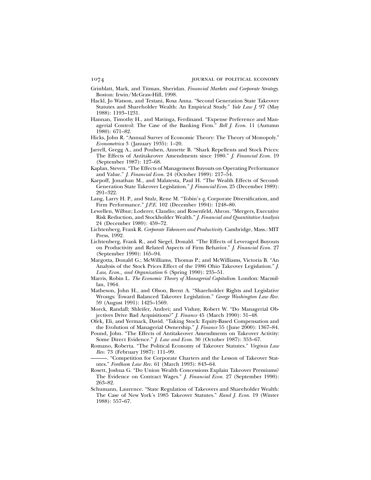- Grinblatt, Mark, and Titman, Sheridan. *Financial Markets and Corporate Strategy.* Boston: Irwin/McGraw-Hill, 1998.
- Hackl, Jo Watson, and Testani, Rosa Anna. "Second Generation State Takeover Statutes and Shareholder Wealth: An Empirical Study." *Yale Law J.* 97 (May 1988): 1193–1231.
- Hannan, Timothy H., and Mavinga, Ferdinand. "Expense Preference and Managerial Control: The Case of the Banking Firm." *Bell J. Econ.* 11 (Autumn 1980): 671–82.
- Hicks, John R. "Annual Survey of Economic Theory: The Theory of Monopoly." *Econometrica* 3 (January 1935): 1–20.
- Jarrell, Gregg A., and Poulsen, Annette B. "Shark Repellents and Stock Prices: The Effects of Antitakeover Amendments since 1980." *J. Financial Econ.* 19 (September 1987): 127–68.
- Kaplan, Steven. "The Effects of Management Buyouts on Operating Performance and Value." *J. Financial Econ.* 24 (October 1989): 217–54.
- Karpoff, Jonathan M., and Malatesta, Paul H. "The Wealth Effects of Second-Generation State Takeover Legislation." *J. Financial Econ.* 25 (December 1989): 291–322.
- Lang, Larry H. P., and Stulz, Rene M. "Tobin's *q,* Corporate Diversification, and Firm Performance." *J.P.E.* 102 (December 1994): 1248–80.
- Lewellen, Wilbur; Loderer, Claudio; and Rosenfeld, Ahron. "Mergers, Executive Risk Reduction, and Stockholder Wealth." *J. Financial and Quantitative Analysis* 24 (December 1989): 459–72.
- Lichtenberg, Frank R. *Corporate Takeovers and Productivity.* Cambridge, Mass.: MIT Press, 1992.
- Lichtenberg, Frank R., and Siegel, Donald. "The Effects of Leveraged Buyouts on Productivity and Related Aspects of Firm Behavior." *J. Financial Econ.* 27 (September 1990): 165–94.
- Margotta, Donald G.; McWilliams, Thomas P.; and McWilliams, Victoria B. "An Analysis of the Stock Prices Effect of the 1986 Ohio Takeover Legislation." *J. Law, Econ., and Organization* 6 (Spring 1990): 235–51.
- Marris, Robin L. *The Economic Theory of Managerial Capitalism.* London: Macmillan, 1964.
- Matheson, John H., and Olson, Brent A. "Shareholder Rights and Legislative Wrongs: Toward Balanced Takeover Legislation." *George Washington Law Rev.* 59 (August 1991): 1425–1569.
- Morck, Randall; Shleifer, Andrei; and Vishny, Robert W. "Do Managerial Objectives Drive Bad Acquisitions?" *J. Finance* 45 (March 1990): 31–48.
- Ofek, Eli, and Yermack, David. "Taking Stock: Equity-Based Compensation and the Evolution of Managerial Ownership." *J. Finance* 55 (June 2000): 1367–84.
- Pound, John. "The Effects of Antitakeover Amendments on Takeover Activity: Some Direct Evidence." *J. Law and Econ.* 30 (October 1987): 353–67.
- Romano, Roberta. "The Political Economy of Takeover Statutes." *Virginia Law Rev.* 73 (February 1987): 111–99.
- ———. "Competition for Corporate Charters and the Lesson of Takeover Statutes." *Fordham Law Rev.* 61 (March 1993): 843–64.
- Rosett, Joshua G. "Do Union Wealth Concessions Explain Takeover Premiums? The Evidence on Contract Wages." *J. Financial Econ.* 27 (September 1990): 263–82.
- Schumann, Laurence. "State Regulation of Takeovers and Shareholder Wealth: The Case of New York's 1985 Takeover Statutes." *Rand J. Econ.* 19 (Winter 1988): 557–67.